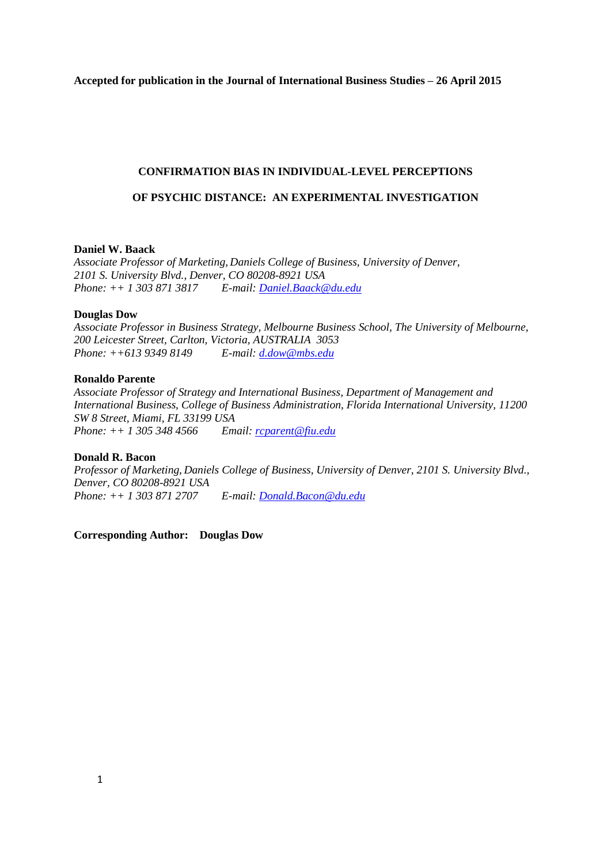**Accepted for publication in the Journal of International Business Studies – 26 April 2015**

## **CONFIRMATION BIAS IN INDIVIDUAL-LEVEL PERCEPTIONS**

# **OF PSYCHIC DISTANCE: AN EXPERIMENTAL INVESTIGATION**

#### **Daniel W. Baack**

*Associate Professor of Marketing, Daniels College of Business, University of Denver, 2101 S. University Blvd., Denver, CO 80208-8921 USA Phone: ++ 1 303 871 3817 E-mail: [Daniel.Baack@du.edu](mailto:Daniel.Baack@du.edu)*

## **Douglas Dow**

*Associate Professor in Business Strategy, Melbourne Business School, The University of Melbourne, 200 Leicester Street, Carlton, Victoria, AUSTRALIA 3053 Phone: ++613 9349 8149 E-mail: [d.dow@mbs.edu](mailto:d.dow@mbs.edu)*

## **Ronaldo Parente**

*Associate Professor of Strategy and International Business, Department of Management and International Business, College of Business Administration, Florida International University, 11200 SW 8 Street, Miami, FL 33199 USA Phone: ++ 1 305 348 4566 Email[: rcparent@fiu.edu](mailto:rcparent@fiu.edu)*

## **Donald R. Bacon**

*Professor of Marketing, Daniels College of Business, University of Denver, 2101 S. University Blvd., Denver, CO 80208-8921 USA Phone: ++ 1 303 871 2707 E-mail: [Donald.Bacon@du.edu](mailto:Donald.Bacon@du.edu)*

**Corresponding Author: Douglas Dow**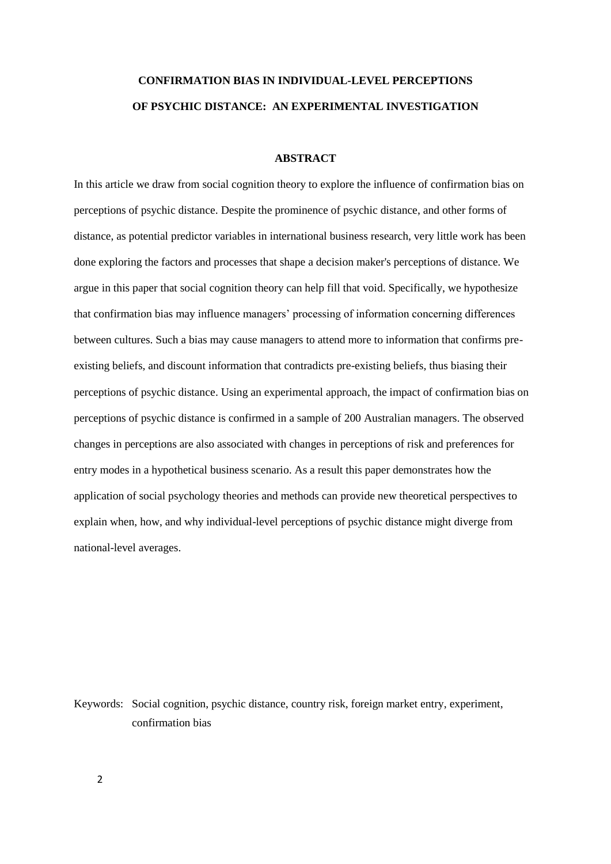# **CONFIRMATION BIAS IN INDIVIDUAL-LEVEL PERCEPTIONS OF PSYCHIC DISTANCE: AN EXPERIMENTAL INVESTIGATION**

#### **ABSTRACT**

In this article we draw from social cognition theory to explore the influence of confirmation bias on perceptions of psychic distance. Despite the prominence of psychic distance, and other forms of distance, as potential predictor variables in international business research, very little work has been done exploring the factors and processes that shape a decision maker's perceptions of distance. We argue in this paper that social cognition theory can help fill that void. Specifically, we hypothesize that confirmation bias may influence managers' processing of information concerning differences between cultures. Such a bias may cause managers to attend more to information that confirms preexisting beliefs, and discount information that contradicts pre-existing beliefs, thus biasing their perceptions of psychic distance. Using an experimental approach, the impact of confirmation bias on perceptions of psychic distance is confirmed in a sample of 200 Australian managers. The observed changes in perceptions are also associated with changes in perceptions of risk and preferences for entry modes in a hypothetical business scenario. As a result this paper demonstrates how the application of social psychology theories and methods can provide new theoretical perspectives to explain when, how, and why individual-level perceptions of psychic distance might diverge from national-level averages.

Keywords: Social cognition, psychic distance, country risk, foreign market entry, experiment, confirmation bias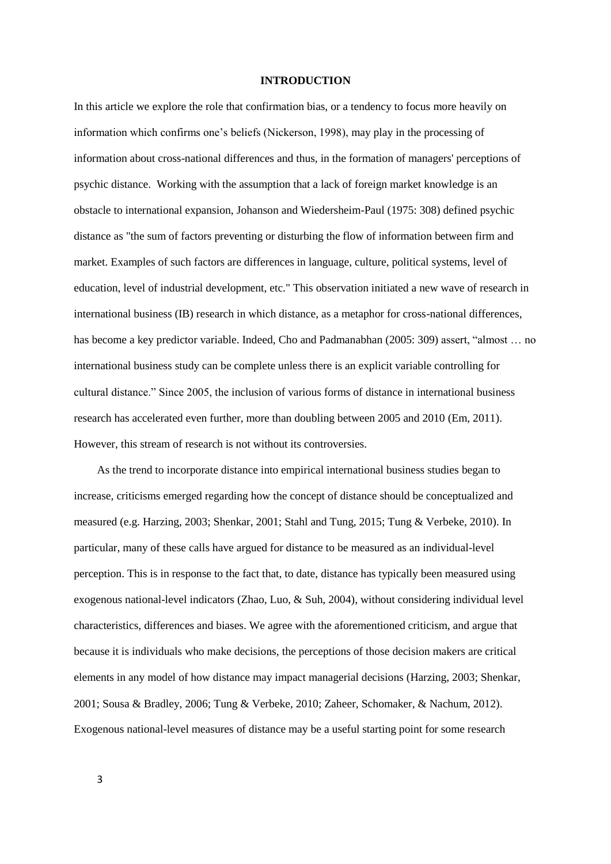#### **INTRODUCTION**

In this article we explore the role that confirmation bias, or a tendency to focus more heavily on information which confirms one's beliefs (Nickerson, 1998), may play in the processing of information about cross-national differences and thus, in the formation of managers' perceptions of psychic distance. Working with the assumption that a lack of foreign market knowledge is an obstacle to international expansion, Johanson and Wiedersheim-Paul (1975: 308) defined psychic distance as "the sum of factors preventing or disturbing the flow of information between firm and market. Examples of such factors are differences in language, culture, political systems, level of education, level of industrial development, etc." This observation initiated a new wave of research in international business (IB) research in which distance, as a metaphor for cross-national differences, has become a key predictor variable. Indeed, Cho and Padmanabhan (2005: 309) assert, "almost … no international business study can be complete unless there is an explicit variable controlling for cultural distance." Since 2005, the inclusion of various forms of distance in international business research has accelerated even further, more than doubling between 2005 and 2010 (Em, 2011). However, this stream of research is not without its controversies.

As the trend to incorporate distance into empirical international business studies began to increase, criticisms emerged regarding how the concept of distance should be conceptualized and measured (e.g. Harzing, 2003; Shenkar, 2001; Stahl and Tung, 2015; Tung & Verbeke, 2010). In particular, many of these calls have argued for distance to be measured as an individual-level perception. This is in response to the fact that, to date, distance has typically been measured using exogenous national-level indicators (Zhao, Luo, & Suh, 2004), without considering individual level characteristics, differences and biases. We agree with the aforementioned criticism, and argue that because it is individuals who make decisions, the perceptions of those decision makers are critical elements in any model of how distance may impact managerial decisions (Harzing, 2003; Shenkar, 2001; Sousa & Bradley, 2006; Tung & Verbeke, 2010; Zaheer, Schomaker, & Nachum, 2012). Exogenous national-level measures of distance may be a useful starting point for some research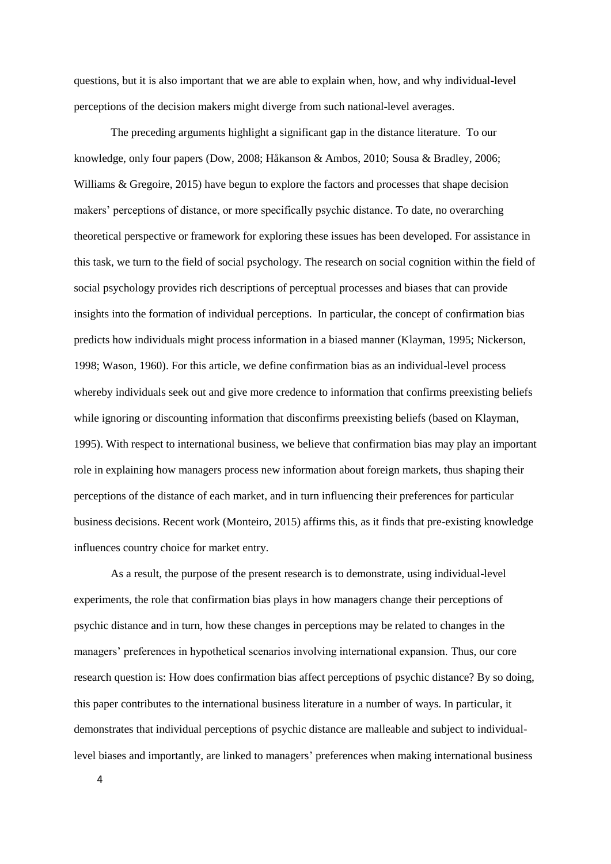questions, but it is also important that we are able to explain when, how, and why individual-level perceptions of the decision makers might diverge from such national-level averages.

The preceding arguments highlight a significant gap in the distance literature. To our knowledge, only four papers (Dow, 2008; Håkanson & Ambos, 2010; Sousa & Bradley, 2006; Williams & Gregoire, 2015) have begun to explore the factors and processes that shape decision makers' perceptions of distance, or more specifically psychic distance. To date, no overarching theoretical perspective or framework for exploring these issues has been developed. For assistance in this task, we turn to the field of social psychology. The research on social cognition within the field of social psychology provides rich descriptions of perceptual processes and biases that can provide insights into the formation of individual perceptions. In particular, the concept of confirmation bias predicts how individuals might process information in a biased manner (Klayman, 1995; Nickerson, 1998; Wason, 1960). For this article, we define confirmation bias as an individual-level process whereby individuals seek out and give more credence to information that confirms preexisting beliefs while ignoring or discounting information that disconfirms preexisting beliefs (based on Klayman, 1995). With respect to international business, we believe that confirmation bias may play an important role in explaining how managers process new information about foreign markets, thus shaping their perceptions of the distance of each market, and in turn influencing their preferences for particular business decisions. Recent work (Monteiro, 2015) affirms this, as it finds that pre-existing knowledge influences country choice for market entry.

As a result, the purpose of the present research is to demonstrate, using individual-level experiments, the role that confirmation bias plays in how managers change their perceptions of psychic distance and in turn, how these changes in perceptions may be related to changes in the managers' preferences in hypothetical scenarios involving international expansion. Thus, our core research question is: How does confirmation bias affect perceptions of psychic distance? By so doing, this paper contributes to the international business literature in a number of ways. In particular, it demonstrates that individual perceptions of psychic distance are malleable and subject to individuallevel biases and importantly, are linked to managers' preferences when making international business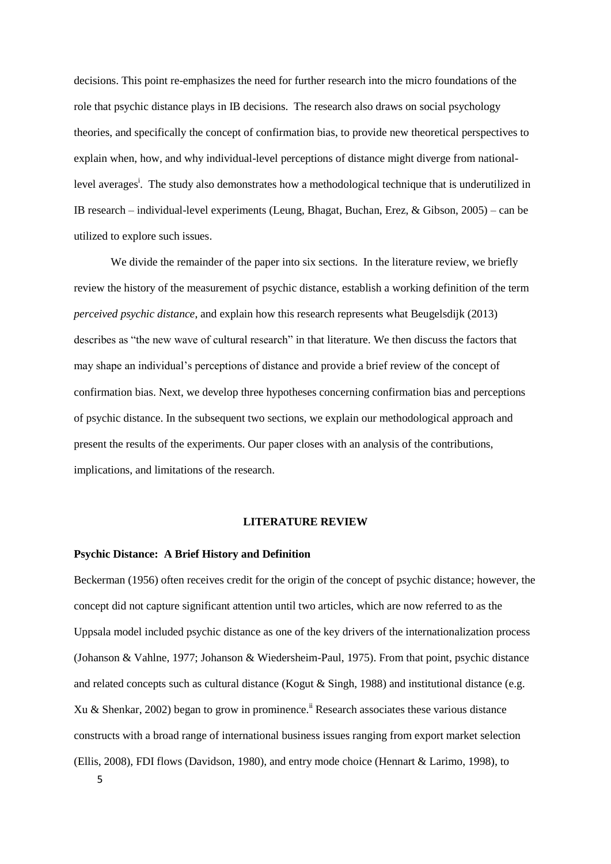decisions. This point re-emphasizes the need for further research into the micro foundations of the role that psychic distance plays in IB decisions. The research also draws on social psychology theories, and specifically the concept of confirmation bias, to provide new theoretical perspectives to explain when, how, and why individual-level perceptions of distance might diverge from nationallevel averages<sup>i</sup>. The study also demonstrates how a methodological technique that is underutilized in IB research – individual-level experiments (Leung, Bhagat, Buchan, Erez, & Gibson, 2005) – can be utilized to explore such issues.

We divide the remainder of the paper into six sections. In the literature review, we briefly review the history of the measurement of psychic distance, establish a working definition of the term *perceived psychic distance*, and explain how this research represents what Beugelsdijk (2013) describes as "the new wave of cultural research" in that literature. We then discuss the factors that may shape an individual's perceptions of distance and provide a brief review of the concept of confirmation bias. Next, we develop three hypotheses concerning confirmation bias and perceptions of psychic distance. In the subsequent two sections, we explain our methodological approach and present the results of the experiments. Our paper closes with an analysis of the contributions, implications, and limitations of the research.

## **LITERATURE REVIEW**

#### **Psychic Distance: A Brief History and Definition**

Beckerman (1956) often receives credit for the origin of the concept of psychic distance; however, the concept did not capture significant attention until two articles, which are now referred to as the Uppsala model included psychic distance as one of the key drivers of the internationalization process (Johanson & Vahlne, 1977; Johanson & Wiedersheim-Paul, 1975). From that point, psychic distance and related concepts such as cultural distance (Kogut & Singh, 1988) and institutional distance (e.g. Xu & Shenkar, 2002) began to grow in prominence.<sup>ii</sup> Research associates these various distance constructs with a broad range of international business issues ranging from export market selection (Ellis, 2008), FDI flows (Davidson, 1980), and entry mode choice (Hennart & Larimo, 1998), to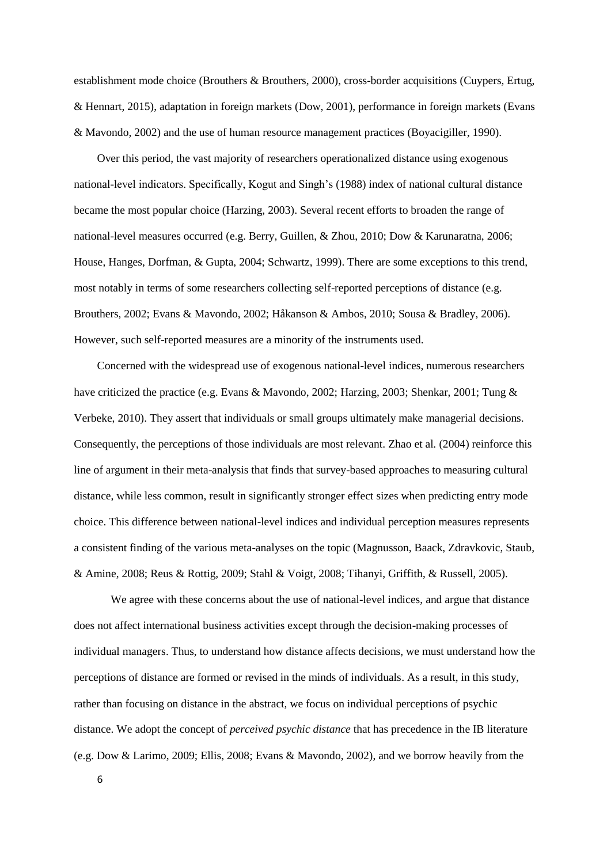establishment mode choice (Brouthers & Brouthers, 2000), cross-border acquisitions (Cuypers, Ertug, & Hennart, 2015), adaptation in foreign markets (Dow, 2001), performance in foreign markets (Evans & Mavondo, 2002) and the use of human resource management practices (Boyacigiller, 1990).

Over this period, the vast majority of researchers operationalized distance using exogenous national-level indicators. Specifically, Kogut and Singh's (1988) index of national cultural distance became the most popular choice (Harzing, 2003). Several recent efforts to broaden the range of national-level measures occurred (e.g. Berry, Guillen, & Zhou, 2010; Dow & Karunaratna, 2006; House, Hanges, Dorfman, & Gupta, 2004; Schwartz, 1999). There are some exceptions to this trend, most notably in terms of some researchers collecting self-reported perceptions of distance (e.g. Brouthers, 2002; Evans & Mavondo, 2002; Håkanson & Ambos, 2010; Sousa & Bradley, 2006). However, such self-reported measures are a minority of the instruments used.

Concerned with the widespread use of exogenous national-level indices, numerous researchers have criticized the practice (e.g. Evans & Mavondo, 2002; Harzing, 2003; Shenkar, 2001; Tung & Verbeke, 2010). They assert that individuals or small groups ultimately make managerial decisions. Consequently, the perceptions of those individuals are most relevant. Zhao et al*.* (2004) reinforce this line of argument in their meta-analysis that finds that survey-based approaches to measuring cultural distance, while less common, result in significantly stronger effect sizes when predicting entry mode choice. This difference between national-level indices and individual perception measures represents a consistent finding of the various meta-analyses on the topic (Magnusson, Baack, Zdravkovic, Staub, & Amine, 2008; Reus & Rottig, 2009; Stahl & Voigt, 2008; Tihanyi, Griffith, & Russell, 2005).

We agree with these concerns about the use of national-level indices, and argue that distance does not affect international business activities except through the decision-making processes of individual managers. Thus, to understand how distance affects decisions, we must understand how the perceptions of distance are formed or revised in the minds of individuals. As a result, in this study, rather than focusing on distance in the abstract, we focus on individual perceptions of psychic distance. We adopt the concept of *perceived psychic distance* that has precedence in the IB literature (e.g. Dow & Larimo, 2009; Ellis, 2008; Evans & Mavondo, 2002), and we borrow heavily from the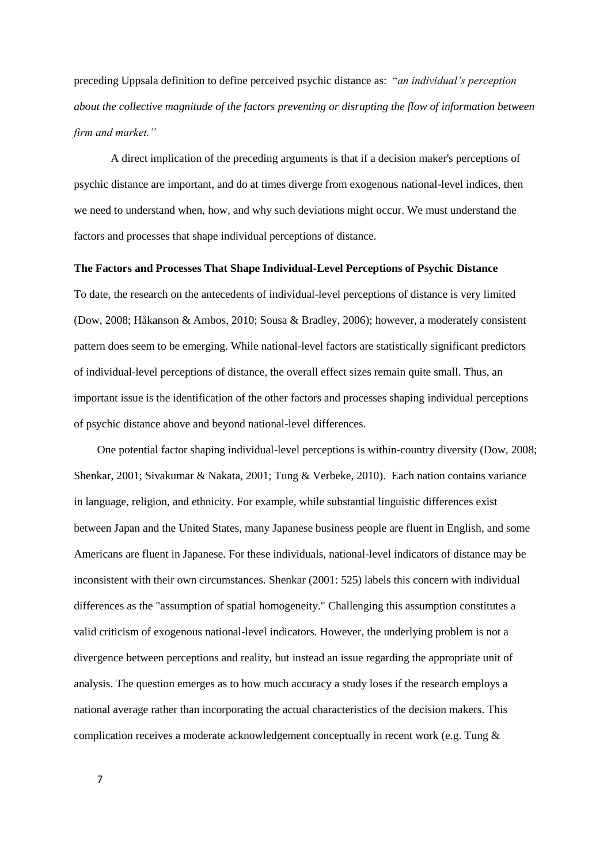preceding Uppsala definition to define perceived psychic distance as: "*an individual's perception about the collective magnitude of the factors preventing or disrupting the flow of information between firm and market."* 

A direct implication of the preceding arguments is that if a decision maker's perceptions of psychic distance are important, and do at times diverge from exogenous national-level indices, then we need to understand when, how, and why such deviations might occur. We must understand the factors and processes that shape individual perceptions of distance.

#### **The Factors and Processes That Shape Individual-Level Perceptions of Psychic Distance**

To date, the research on the antecedents of individual-level perceptions of distance is very limited (Dow, 2008; Håkanson & Ambos, 2010; Sousa & Bradley, 2006); however, a moderately consistent pattern does seem to be emerging. While national-level factors are statistically significant predictors of individual-level perceptions of distance, the overall effect sizes remain quite small. Thus, an important issue is the identification of the other factors and processes shaping individual perceptions of psychic distance above and beyond national-level differences.

One potential factor shaping individual-level perceptions is within-country diversity (Dow, 2008; Shenkar, 2001; Sivakumar & Nakata, 2001; Tung & Verbeke, 2010). Each nation contains variance in language, religion, and ethnicity. For example, while substantial linguistic differences exist between Japan and the United States, many Japanese business people are fluent in English, and some Americans are fluent in Japanese. For these individuals, national-level indicators of distance may be inconsistent with their own circumstances. Shenkar (2001: 525) labels this concern with individual differences as the "assumption of spatial homogeneity." Challenging this assumption constitutes a valid criticism of exogenous national-level indicators. However, the underlying problem is not a divergence between perceptions and reality, but instead an issue regarding the appropriate unit of analysis. The question emerges as to how much accuracy a study loses if the research employs a national average rather than incorporating the actual characteristics of the decision makers. This complication receives a moderate acknowledgement conceptually in recent work (e.g. Tung &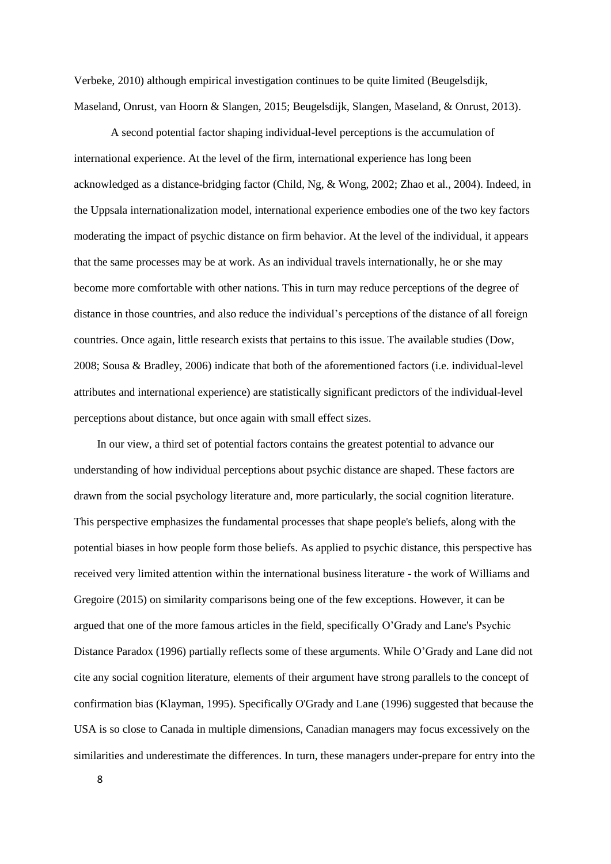Verbeke, 2010) although empirical investigation continues to be quite limited (Beugelsdijk, Maseland, Onrust, van Hoorn & Slangen, 2015; Beugelsdijk, Slangen, Maseland, & Onrust, 2013).

A second potential factor shaping individual-level perceptions is the accumulation of international experience. At the level of the firm, international experience has long been acknowledged as a distance-bridging factor (Child, Ng, & Wong, 2002; Zhao et al*.*, 2004). Indeed, in the Uppsala internationalization model, international experience embodies one of the two key factors moderating the impact of psychic distance on firm behavior. At the level of the individual, it appears that the same processes may be at work. As an individual travels internationally, he or she may become more comfortable with other nations. This in turn may reduce perceptions of the degree of distance in those countries, and also reduce the individual's perceptions of the distance of all foreign countries. Once again, little research exists that pertains to this issue. The available studies (Dow, 2008; Sousa & Bradley, 2006) indicate that both of the aforementioned factors (i.e. individual-level attributes and international experience) are statistically significant predictors of the individual-level perceptions about distance, but once again with small effect sizes.

In our view, a third set of potential factors contains the greatest potential to advance our understanding of how individual perceptions about psychic distance are shaped. These factors are drawn from the social psychology literature and, more particularly, the social cognition literature. This perspective emphasizes the fundamental processes that shape people's beliefs, along with the potential biases in how people form those beliefs. As applied to psychic distance, this perspective has received very limited attention within the international business literature - the work of Williams and Gregoire (2015) on similarity comparisons being one of the few exceptions. However, it can be argued that one of the more famous articles in the field, specifically O'Grady and Lane's Psychic Distance Paradox (1996) partially reflects some of these arguments. While O'Grady and Lane did not cite any social cognition literature, elements of their argument have strong parallels to the concept of confirmation bias (Klayman, 1995). Specifically O'Grady and Lane (1996) suggested that because the USA is so close to Canada in multiple dimensions, Canadian managers may focus excessively on the similarities and underestimate the differences. In turn, these managers under-prepare for entry into the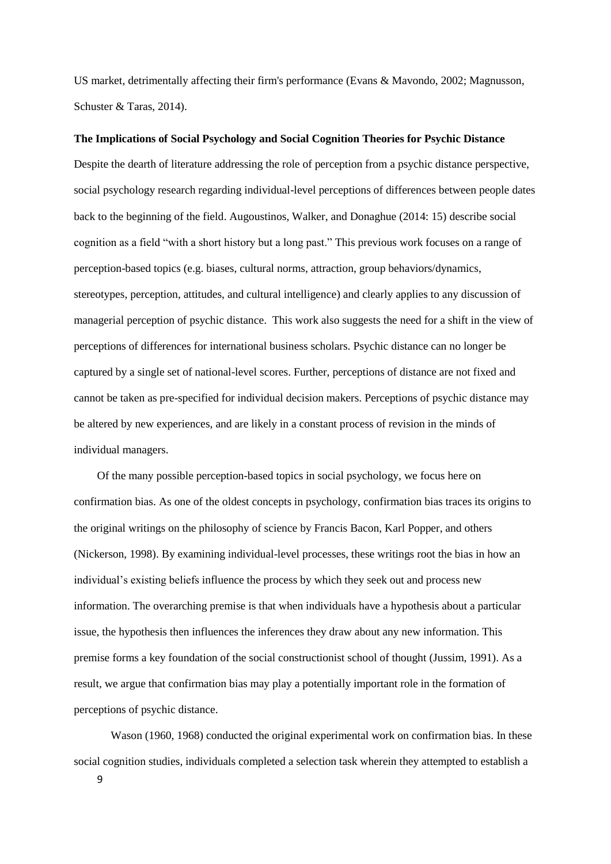US market, detrimentally affecting their firm's performance (Evans & Mavondo, 2002; Magnusson, Schuster & Taras, 2014).

# **The Implications of Social Psychology and Social Cognition Theories for Psychic Distance** Despite the dearth of literature addressing the role of perception from a psychic distance perspective, social psychology research regarding individual-level perceptions of differences between people dates back to the beginning of the field. Augoustinos, Walker, and Donaghue (2014: 15) describe social cognition as a field "with a short history but a long past." This previous work focuses on a range of perception-based topics (e.g. biases, cultural norms, attraction, group behaviors/dynamics, stereotypes, perception, attitudes, and cultural intelligence) and clearly applies to any discussion of managerial perception of psychic distance. This work also suggests the need for a shift in the view of perceptions of differences for international business scholars. Psychic distance can no longer be captured by a single set of national-level scores. Further, perceptions of distance are not fixed and cannot be taken as pre-specified for individual decision makers. Perceptions of psychic distance may be altered by new experiences, and are likely in a constant process of revision in the minds of individual managers.

Of the many possible perception-based topics in social psychology, we focus here on confirmation bias. As one of the oldest concepts in psychology, confirmation bias traces its origins to the original writings on the philosophy of science by Francis Bacon, Karl Popper, and others (Nickerson, 1998). By examining individual-level processes, these writings root the bias in how an individual's existing beliefs influence the process by which they seek out and process new information. The overarching premise is that when individuals have a hypothesis about a particular issue, the hypothesis then influences the inferences they draw about any new information. This premise forms a key foundation of the social constructionist school of thought (Jussim, 1991). As a result, we argue that confirmation bias may play a potentially important role in the formation of perceptions of psychic distance.

Wason (1960, 1968) conducted the original experimental work on confirmation bias. In these social cognition studies, individuals completed a selection task wherein they attempted to establish a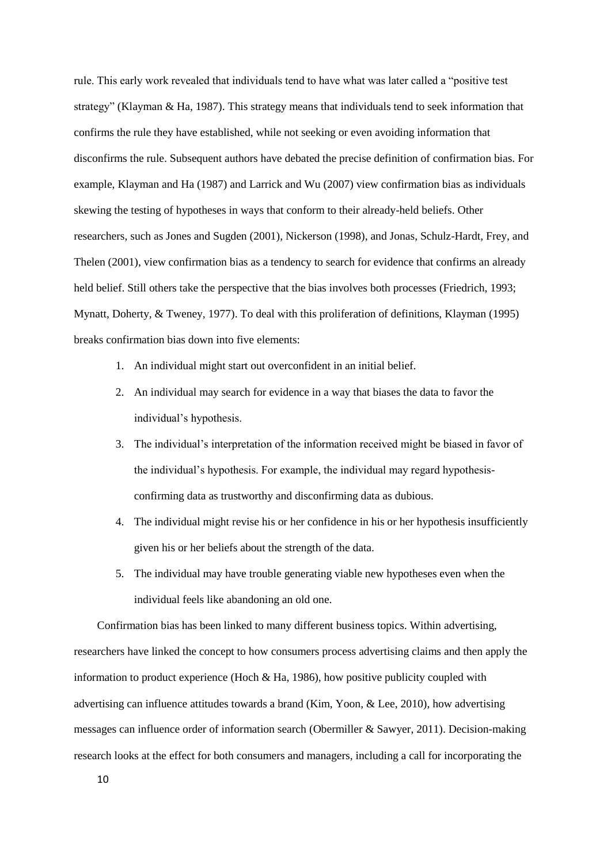rule. This early work revealed that individuals tend to have what was later called a "positive test strategy" (Klayman & Ha, 1987). This strategy means that individuals tend to seek information that confirms the rule they have established, while not seeking or even avoiding information that disconfirms the rule. Subsequent authors have debated the precise definition of confirmation bias. For example, Klayman and Ha (1987) and Larrick and Wu (2007) view confirmation bias as individuals skewing the testing of hypotheses in ways that conform to their already-held beliefs. Other researchers, such as Jones and Sugden (2001), Nickerson (1998), and Jonas, Schulz-Hardt, Frey, and Thelen (2001), view confirmation bias as a tendency to search for evidence that confirms an already held belief. Still others take the perspective that the bias involves both processes (Friedrich, 1993; Mynatt, Doherty, & Tweney, 1977). To deal with this proliferation of definitions, Klayman (1995) breaks confirmation bias down into five elements:

- 1. An individual might start out overconfident in an initial belief.
- 2. An individual may search for evidence in a way that biases the data to favor the individual's hypothesis.
- 3. The individual's interpretation of the information received might be biased in favor of the individual's hypothesis. For example, the individual may regard hypothesisconfirming data as trustworthy and disconfirming data as dubious.
- 4. The individual might revise his or her confidence in his or her hypothesis insufficiently given his or her beliefs about the strength of the data.
- 5. The individual may have trouble generating viable new hypotheses even when the individual feels like abandoning an old one.

Confirmation bias has been linked to many different business topics. Within advertising, researchers have linked the concept to how consumers process advertising claims and then apply the information to product experience (Hoch  $\&$  Ha, 1986), how positive publicity coupled with advertising can influence attitudes towards a brand (Kim, Yoon, & Lee, 2010), how advertising messages can influence order of information search (Obermiller & Sawyer, 2011). Decision-making research looks at the effect for both consumers and managers, including a call for incorporating the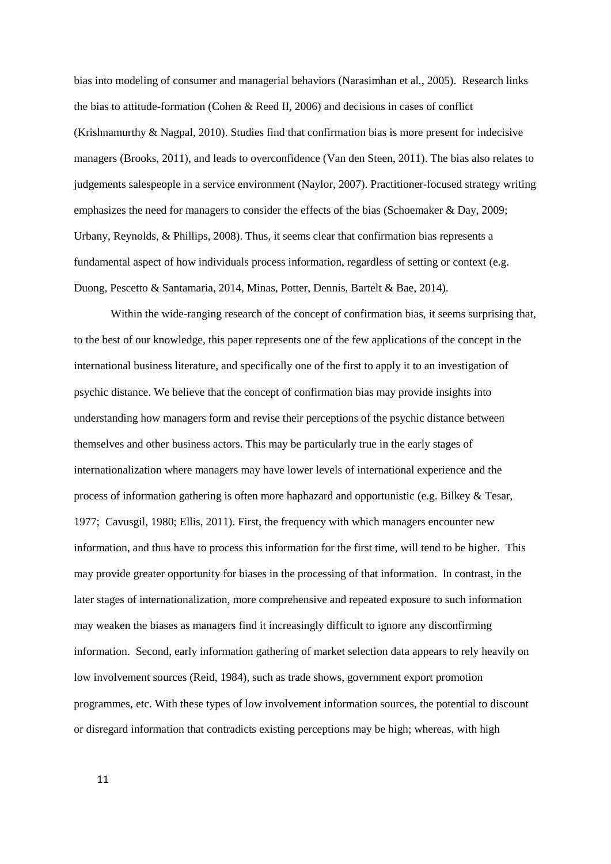bias into modeling of consumer and managerial behaviors (Narasimhan et al*.*, 2005). Research links the bias to attitude-formation (Cohen & Reed II, 2006) and decisions in cases of conflict (Krishnamurthy & Nagpal, 2010). Studies find that confirmation bias is more present for indecisive managers (Brooks, 2011), and leads to overconfidence (Van den Steen, 2011). The bias also relates to judgements salespeople in a service environment (Naylor, 2007). Practitioner-focused strategy writing emphasizes the need for managers to consider the effects of the bias (Schoemaker & Day, 2009; Urbany, Reynolds, & Phillips, 2008). Thus, it seems clear that confirmation bias represents a fundamental aspect of how individuals process information, regardless of setting or context (e.g. Duong, Pescetto & Santamaria, 2014, Minas, Potter, Dennis, Bartelt & Bae, 2014).

Within the wide-ranging research of the concept of confirmation bias, it seems surprising that, to the best of our knowledge, this paper represents one of the few applications of the concept in the international business literature, and specifically one of the first to apply it to an investigation of psychic distance. We believe that the concept of confirmation bias may provide insights into understanding how managers form and revise their perceptions of the psychic distance between themselves and other business actors. This may be particularly true in the early stages of internationalization where managers may have lower levels of international experience and the process of information gathering is often more haphazard and opportunistic (e.g. Bilkey & Tesar, 1977; Cavusgil, 1980; Ellis, 2011). First, the frequency with which managers encounter new information, and thus have to process this information for the first time, will tend to be higher. This may provide greater opportunity for biases in the processing of that information. In contrast, in the later stages of internationalization, more comprehensive and repeated exposure to such information may weaken the biases as managers find it increasingly difficult to ignore any disconfirming information. Second, early information gathering of market selection data appears to rely heavily on low involvement sources (Reid, 1984), such as trade shows, government export promotion programmes, etc. With these types of low involvement information sources, the potential to discount or disregard information that contradicts existing perceptions may be high; whereas, with high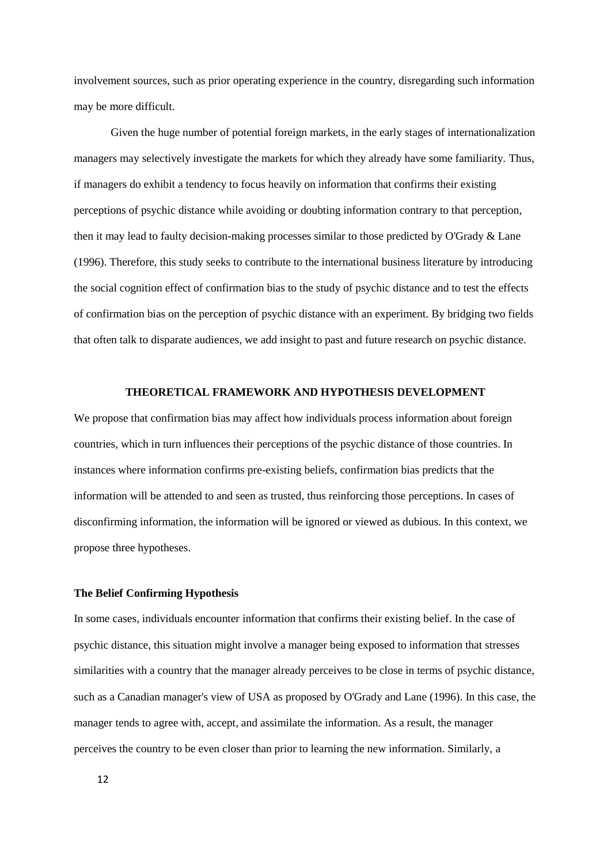involvement sources, such as prior operating experience in the country, disregarding such information may be more difficult.

Given the huge number of potential foreign markets, in the early stages of internationalization managers may selectively investigate the markets for which they already have some familiarity. Thus, if managers do exhibit a tendency to focus heavily on information that confirms their existing perceptions of psychic distance while avoiding or doubting information contrary to that perception, then it may lead to faulty decision-making processes similar to those predicted by O'Grady & Lane (1996). Therefore, this study seeks to contribute to the international business literature by introducing the social cognition effect of confirmation bias to the study of psychic distance and to test the effects of confirmation bias on the perception of psychic distance with an experiment. By bridging two fields that often talk to disparate audiences, we add insight to past and future research on psychic distance.

#### **THEORETICAL FRAMEWORK AND HYPOTHESIS DEVELOPMENT**

We propose that confirmation bias may affect how individuals process information about foreign countries, which in turn influences their perceptions of the psychic distance of those countries. In instances where information confirms pre-existing beliefs, confirmation bias predicts that the information will be attended to and seen as trusted, thus reinforcing those perceptions. In cases of disconfirming information, the information will be ignored or viewed as dubious. In this context, we propose three hypotheses.

#### **The Belief Confirming Hypothesis**

In some cases, individuals encounter information that confirms their existing belief. In the case of psychic distance, this situation might involve a manager being exposed to information that stresses similarities with a country that the manager already perceives to be close in terms of psychic distance, such as a Canadian manager's view of USA as proposed by O'Grady and Lane (1996). In this case, the manager tends to agree with, accept, and assimilate the information. As a result, the manager perceives the country to be even closer than prior to learning the new information. Similarly, a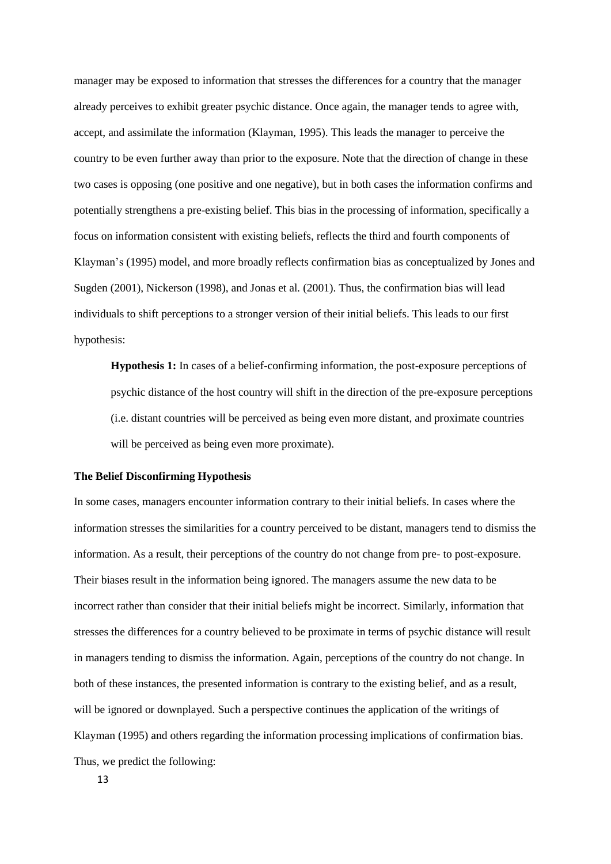manager may be exposed to information that stresses the differences for a country that the manager already perceives to exhibit greater psychic distance. Once again, the manager tends to agree with, accept, and assimilate the information (Klayman, 1995). This leads the manager to perceive the country to be even further away than prior to the exposure. Note that the direction of change in these two cases is opposing (one positive and one negative), but in both cases the information confirms and potentially strengthens a pre-existing belief. This bias in the processing of information, specifically a focus on information consistent with existing beliefs, reflects the third and fourth components of Klayman's (1995) model, and more broadly reflects confirmation bias as conceptualized by Jones and Sugden (2001), Nickerson (1998), and Jonas et al*.* (2001). Thus, the confirmation bias will lead individuals to shift perceptions to a stronger version of their initial beliefs. This leads to our first hypothesis:

**Hypothesis 1:** In cases of a belief-confirming information, the post-exposure perceptions of psychic distance of the host country will shift in the direction of the pre-exposure perceptions (i.e. distant countries will be perceived as being even more distant, and proximate countries will be perceived as being even more proximate).

### **The Belief Disconfirming Hypothesis**

In some cases, managers encounter information contrary to their initial beliefs. In cases where the information stresses the similarities for a country perceived to be distant, managers tend to dismiss the information. As a result, their perceptions of the country do not change from pre- to post-exposure. Their biases result in the information being ignored. The managers assume the new data to be incorrect rather than consider that their initial beliefs might be incorrect. Similarly, information that stresses the differences for a country believed to be proximate in terms of psychic distance will result in managers tending to dismiss the information. Again, perceptions of the country do not change. In both of these instances, the presented information is contrary to the existing belief, and as a result, will be ignored or downplayed. Such a perspective continues the application of the writings of Klayman (1995) and others regarding the information processing implications of confirmation bias. Thus, we predict the following: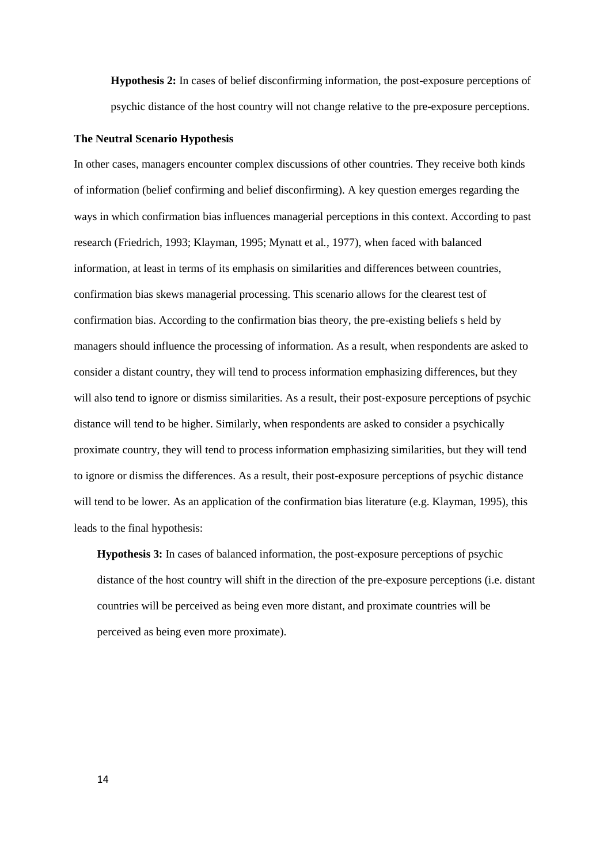**Hypothesis 2:** In cases of belief disconfirming information, the post-exposure perceptions of psychic distance of the host country will not change relative to the pre-exposure perceptions.

#### **The Neutral Scenario Hypothesis**

In other cases, managers encounter complex discussions of other countries. They receive both kinds of information (belief confirming and belief disconfirming). A key question emerges regarding the ways in which confirmation bias influences managerial perceptions in this context. According to past research (Friedrich, 1993; Klayman, 1995; Mynatt et al*.*, 1977), when faced with balanced information, at least in terms of its emphasis on similarities and differences between countries, confirmation bias skews managerial processing. This scenario allows for the clearest test of confirmation bias. According to the confirmation bias theory, the pre-existing beliefs s held by managers should influence the processing of information. As a result, when respondents are asked to consider a distant country, they will tend to process information emphasizing differences, but they will also tend to ignore or dismiss similarities. As a result, their post-exposure perceptions of psychic distance will tend to be higher. Similarly, when respondents are asked to consider a psychically proximate country, they will tend to process information emphasizing similarities, but they will tend to ignore or dismiss the differences. As a result, their post-exposure perceptions of psychic distance will tend to be lower. As an application of the confirmation bias literature (e.g. Klayman, 1995), this leads to the final hypothesis:

**Hypothesis 3:** In cases of balanced information, the post-exposure perceptions of psychic distance of the host country will shift in the direction of the pre-exposure perceptions (i.e. distant countries will be perceived as being even more distant, and proximate countries will be perceived as being even more proximate).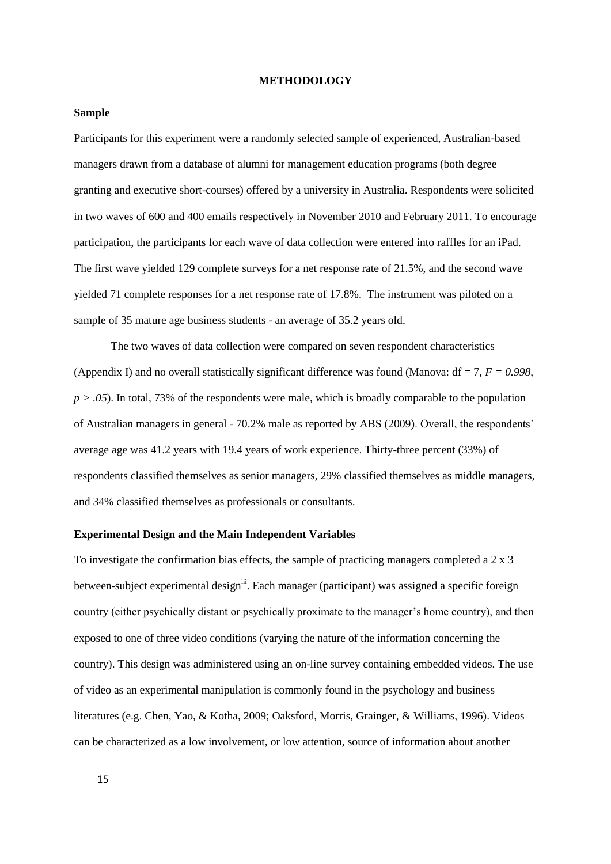#### **METHODOLOGY**

#### **Sample**

Participants for this experiment were a randomly selected sample of experienced, Australian-based managers drawn from a database of alumni for management education programs (both degree granting and executive short-courses) offered by a university in Australia. Respondents were solicited in two waves of 600 and 400 emails respectively in November 2010 and February 2011. To encourage participation, the participants for each wave of data collection were entered into raffles for an iPad. The first wave yielded 129 complete surveys for a net response rate of 21.5%, and the second wave yielded 71 complete responses for a net response rate of 17.8%. The instrument was piloted on a sample of 35 mature age business students - an average of 35.2 years old.

The two waves of data collection were compared on seven respondent characteristics (Appendix I) and no overall statistically significant difference was found (Manova:  $df = 7$ ,  $F = 0.998$ ,  $p > .05$ ). In total, 73% of the respondents were male, which is broadly comparable to the population of Australian managers in general - 70.2% male as reported by ABS (2009). Overall, the respondents' average age was 41.2 years with 19.4 years of work experience. Thirty-three percent (33%) of respondents classified themselves as senior managers, 29% classified themselves as middle managers, and 34% classified themselves as professionals or consultants.

## **Experimental Design and the Main Independent Variables**

To investigate the confirmation bias effects, the sample of practicing managers completed a 2 x 3 between-subject experimental design<sup>iii</sup>. Each manager (participant) was assigned a specific foreign country (either psychically distant or psychically proximate to the manager's home country), and then exposed to one of three video conditions (varying the nature of the information concerning the country). This design was administered using an on-line survey containing embedded videos. The use of video as an experimental manipulation is commonly found in the psychology and business literatures (e.g. Chen, Yao, & Kotha, 2009; Oaksford, Morris, Grainger, & Williams, 1996). Videos can be characterized as a low involvement, or low attention, source of information about another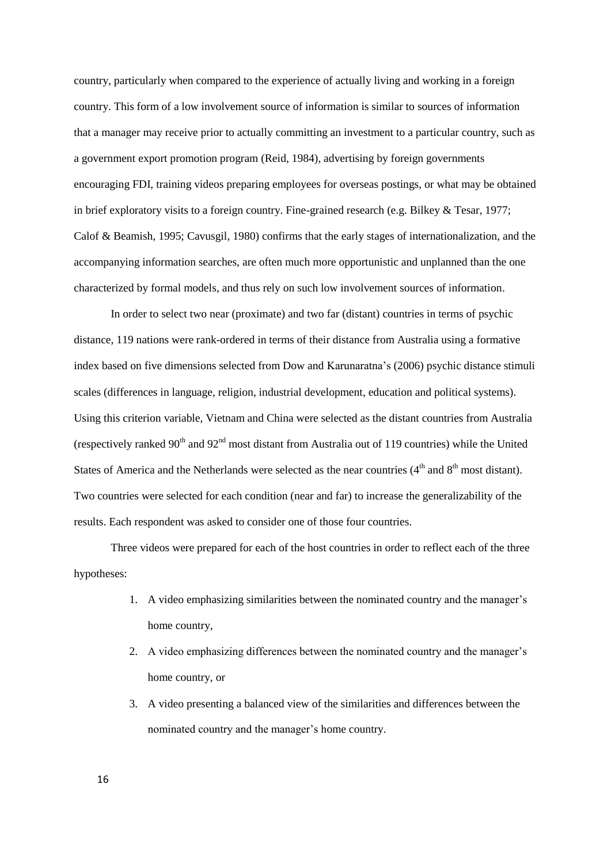country, particularly when compared to the experience of actually living and working in a foreign country. This form of a low involvement source of information is similar to sources of information that a manager may receive prior to actually committing an investment to a particular country, such as a government export promotion program (Reid, 1984), advertising by foreign governments encouraging FDI, training videos preparing employees for overseas postings, or what may be obtained in brief exploratory visits to a foreign country. Fine-grained research (e.g. Bilkey & Tesar, 1977; Calof & Beamish, 1995; Cavusgil, 1980) confirms that the early stages of internationalization, and the accompanying information searches, are often much more opportunistic and unplanned than the one characterized by formal models, and thus rely on such low involvement sources of information.

In order to select two near (proximate) and two far (distant) countries in terms of psychic distance, 119 nations were rank-ordered in terms of their distance from Australia using a formative index based on five dimensions selected from Dow and Karunaratna's (2006) psychic distance stimuli scales (differences in language, religion, industrial development, education and political systems). Using this criterion variable, Vietnam and China were selected as the distant countries from Australia (respectively ranked  $90<sup>th</sup>$  and  $92<sup>nd</sup>$  most distant from Australia out of 119 countries) while the United States of America and the Netherlands were selected as the near countries  $(4<sup>th</sup>$  and  $8<sup>th</sup>$  most distant). Two countries were selected for each condition (near and far) to increase the generalizability of the results. Each respondent was asked to consider one of those four countries.

Three videos were prepared for each of the host countries in order to reflect each of the three hypotheses:

- 1. A video emphasizing similarities between the nominated country and the manager's home country,
- 2. A video emphasizing differences between the nominated country and the manager's home country, or
- 3. A video presenting a balanced view of the similarities and differences between the nominated country and the manager's home country.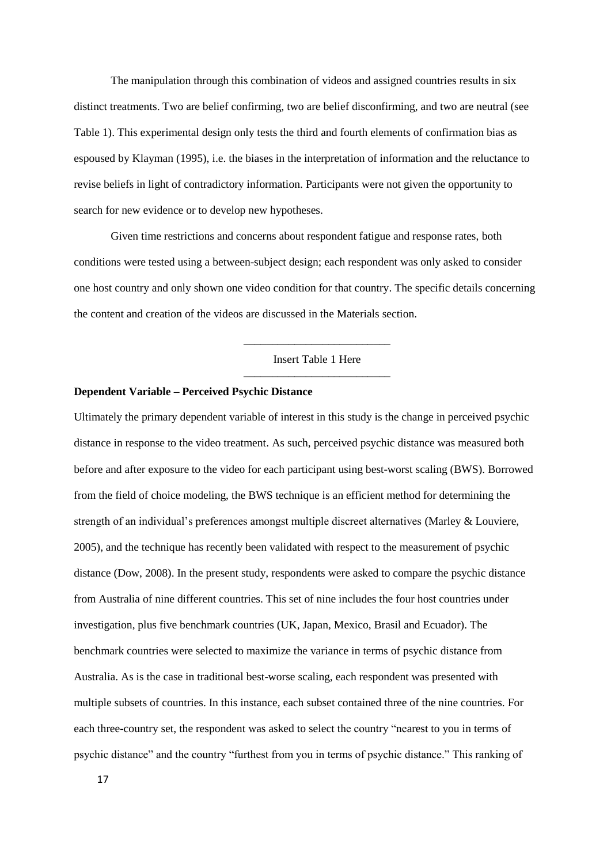The manipulation through this combination of videos and assigned countries results in six distinct treatments. Two are belief confirming, two are belief disconfirming, and two are neutral (see Table 1). This experimental design only tests the third and fourth elements of confirmation bias as espoused by Klayman (1995), i.e. the biases in the interpretation of information and the reluctance to revise beliefs in light of contradictory information. Participants were not given the opportunity to search for new evidence or to develop new hypotheses.

Given time restrictions and concerns about respondent fatigue and response rates, both conditions were tested using a between-subject design; each respondent was only asked to consider one host country and only shown one video condition for that country. The specific details concerning the content and creation of the videos are discussed in the Materials section.

### Insert Table 1 Here \_\_\_\_\_\_\_\_\_\_\_\_\_\_\_\_\_\_\_\_\_\_\_\_\_\_

\_\_\_\_\_\_\_\_\_\_\_\_\_\_\_\_\_\_\_\_\_\_\_\_\_\_

## **Dependent Variable – Perceived Psychic Distance**

Ultimately the primary dependent variable of interest in this study is the change in perceived psychic distance in response to the video treatment. As such, perceived psychic distance was measured both before and after exposure to the video for each participant using best-worst scaling (BWS). Borrowed from the field of choice modeling, the BWS technique is an efficient method for determining the strength of an individual's preferences amongst multiple discreet alternatives (Marley & Louviere, 2005), and the technique has recently been validated with respect to the measurement of psychic distance (Dow, 2008). In the present study, respondents were asked to compare the psychic distance from Australia of nine different countries. This set of nine includes the four host countries under investigation, plus five benchmark countries (UK, Japan, Mexico, Brasil and Ecuador). The benchmark countries were selected to maximize the variance in terms of psychic distance from Australia. As is the case in traditional best-worse scaling, each respondent was presented with multiple subsets of countries. In this instance, each subset contained three of the nine countries. For each three-country set, the respondent was asked to select the country "nearest to you in terms of psychic distance" and the country "furthest from you in terms of psychic distance." This ranking of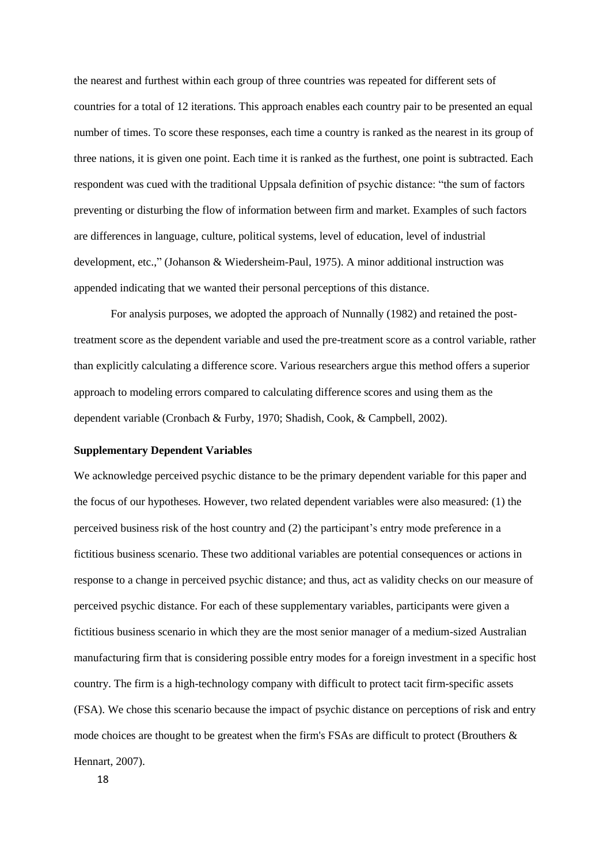the nearest and furthest within each group of three countries was repeated for different sets of countries for a total of 12 iterations. This approach enables each country pair to be presented an equal number of times. To score these responses, each time a country is ranked as the nearest in its group of three nations, it is given one point. Each time it is ranked as the furthest, one point is subtracted. Each respondent was cued with the traditional Uppsala definition of psychic distance: "the sum of factors preventing or disturbing the flow of information between firm and market. Examples of such factors are differences in language, culture, political systems, level of education, level of industrial development, etc.," (Johanson & Wiedersheim-Paul, 1975). A minor additional instruction was appended indicating that we wanted their personal perceptions of this distance.

For analysis purposes, we adopted the approach of Nunnally (1982) and retained the posttreatment score as the dependent variable and used the pre-treatment score as a control variable, rather than explicitly calculating a difference score. Various researchers argue this method offers a superior approach to modeling errors compared to calculating difference scores and using them as the dependent variable (Cronbach & Furby, 1970; Shadish, Cook, & Campbell, 2002).

### **Supplementary Dependent Variables**

We acknowledge perceived psychic distance to be the primary dependent variable for this paper and the focus of our hypotheses. However, two related dependent variables were also measured: (1) the perceived business risk of the host country and (2) the participant's entry mode preference in a fictitious business scenario. These two additional variables are potential consequences or actions in response to a change in perceived psychic distance; and thus, act as validity checks on our measure of perceived psychic distance. For each of these supplementary variables, participants were given a fictitious business scenario in which they are the most senior manager of a medium-sized Australian manufacturing firm that is considering possible entry modes for a foreign investment in a specific host country. The firm is a high-technology company with difficult to protect tacit firm-specific assets (FSA). We chose this scenario because the impact of psychic distance on perceptions of risk and entry mode choices are thought to be greatest when the firm's FSAs are difficult to protect (Brouthers & Hennart, 2007).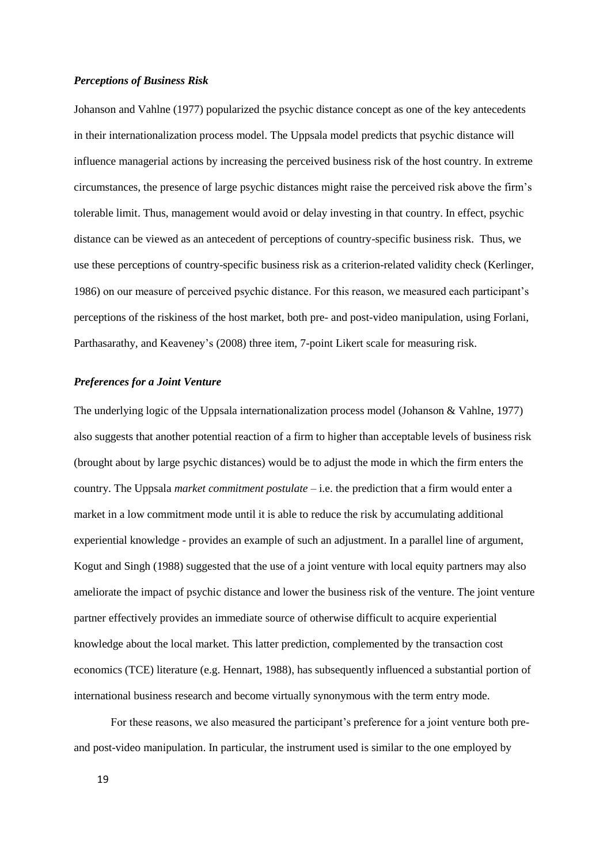#### *Perceptions of Business Risk*

Johanson and Vahlne (1977) popularized the psychic distance concept as one of the key antecedents in their internationalization process model. The Uppsala model predicts that psychic distance will influence managerial actions by increasing the perceived business risk of the host country. In extreme circumstances, the presence of large psychic distances might raise the perceived risk above the firm's tolerable limit. Thus, management would avoid or delay investing in that country. In effect, psychic distance can be viewed as an antecedent of perceptions of country-specific business risk. Thus, we use these perceptions of country-specific business risk as a criterion-related validity check (Kerlinger, 1986) on our measure of perceived psychic distance. For this reason, we measured each participant's perceptions of the riskiness of the host market, both pre- and post-video manipulation, using Forlani, Parthasarathy, and Keaveney's (2008) three item, 7-point Likert scale for measuring risk.

## *Preferences for a Joint Venture*

The underlying logic of the Uppsala internationalization process model (Johanson & Vahlne, 1977) also suggests that another potential reaction of a firm to higher than acceptable levels of business risk (brought about by large psychic distances) would be to adjust the mode in which the firm enters the country. The Uppsala *market commitment postulate* – i.e. the prediction that a firm would enter a market in a low commitment mode until it is able to reduce the risk by accumulating additional experiential knowledge - provides an example of such an adjustment. In a parallel line of argument, Kogut and Singh (1988) suggested that the use of a joint venture with local equity partners may also ameliorate the impact of psychic distance and lower the business risk of the venture. The joint venture partner effectively provides an immediate source of otherwise difficult to acquire experiential knowledge about the local market. This latter prediction, complemented by the transaction cost economics (TCE) literature (e.g. Hennart, 1988), has subsequently influenced a substantial portion of international business research and become virtually synonymous with the term entry mode.

For these reasons, we also measured the participant's preference for a joint venture both preand post-video manipulation. In particular, the instrument used is similar to the one employed by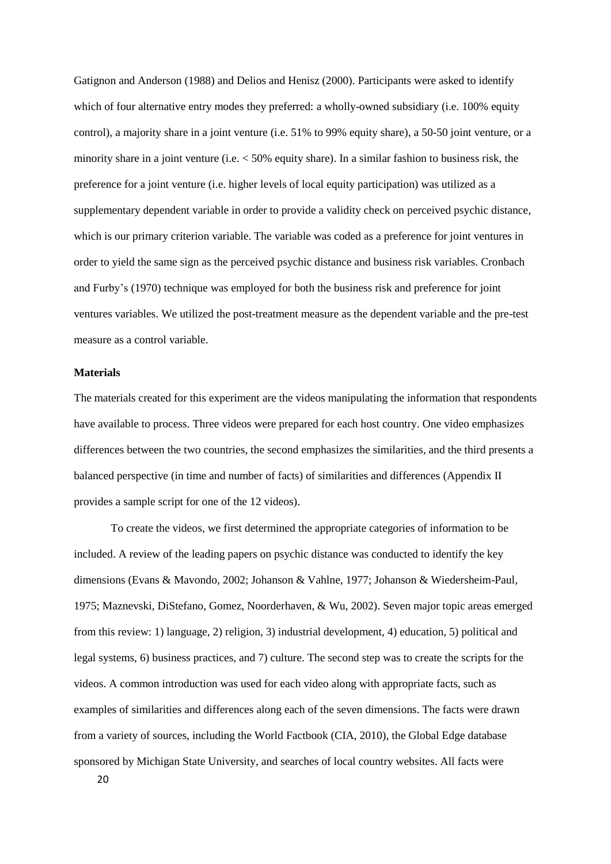Gatignon and Anderson (1988) and Delios and Henisz (2000). Participants were asked to identify which of four alternative entry modes they preferred: a wholly-owned subsidiary (i.e. 100% equity control), a majority share in a joint venture (i.e. 51% to 99% equity share), a 50-50 joint venture, or a minority share in a joint venture (i.e. < 50% equity share). In a similar fashion to business risk, the preference for a joint venture (i.e. higher levels of local equity participation) was utilized as a supplementary dependent variable in order to provide a validity check on perceived psychic distance, which is our primary criterion variable. The variable was coded as a preference for joint ventures in order to yield the same sign as the perceived psychic distance and business risk variables. Cronbach and Furby's (1970) technique was employed for both the business risk and preference for joint ventures variables. We utilized the post-treatment measure as the dependent variable and the pre-test measure as a control variable.

#### **Materials**

The materials created for this experiment are the videos manipulating the information that respondents have available to process. Three videos were prepared for each host country. One video emphasizes differences between the two countries, the second emphasizes the similarities, and the third presents a balanced perspective (in time and number of facts) of similarities and differences (Appendix II provides a sample script for one of the 12 videos).

To create the videos, we first determined the appropriate categories of information to be included. A review of the leading papers on psychic distance was conducted to identify the key dimensions (Evans & Mavondo, 2002; Johanson & Vahlne, 1977; Johanson & Wiedersheim-Paul, 1975; Maznevski, DiStefano, Gomez, Noorderhaven, & Wu, 2002). Seven major topic areas emerged from this review: 1) language, 2) religion, 3) industrial development, 4) education, 5) political and legal systems, 6) business practices, and 7) culture. The second step was to create the scripts for the videos. A common introduction was used for each video along with appropriate facts, such as examples of similarities and differences along each of the seven dimensions. The facts were drawn from a variety of sources, including the World Factbook (CIA, 2010), the Global Edge database sponsored by Michigan State University, and searches of local country websites. All facts were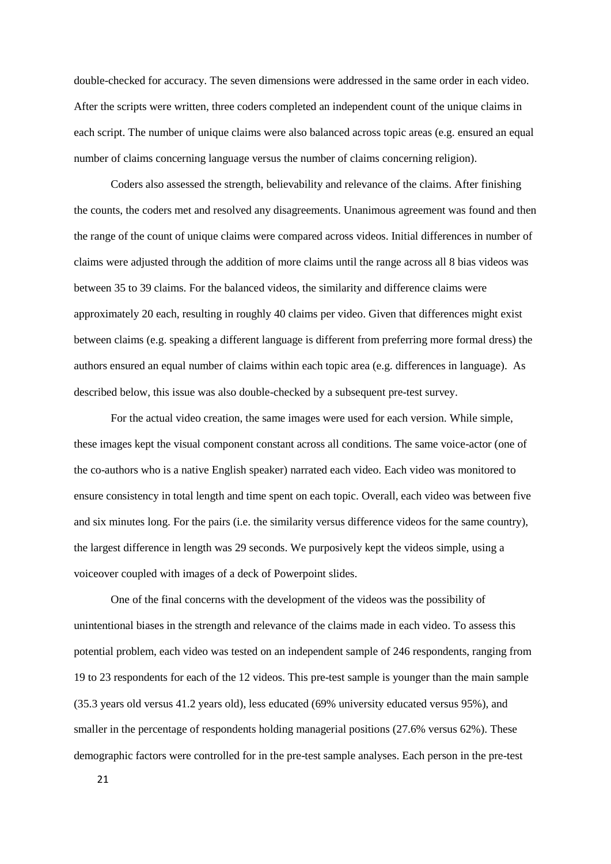double-checked for accuracy. The seven dimensions were addressed in the same order in each video. After the scripts were written, three coders completed an independent count of the unique claims in each script. The number of unique claims were also balanced across topic areas (e.g. ensured an equal number of claims concerning language versus the number of claims concerning religion).

Coders also assessed the strength, believability and relevance of the claims. After finishing the counts, the coders met and resolved any disagreements. Unanimous agreement was found and then the range of the count of unique claims were compared across videos. Initial differences in number of claims were adjusted through the addition of more claims until the range across all 8 bias videos was between 35 to 39 claims. For the balanced videos, the similarity and difference claims were approximately 20 each, resulting in roughly 40 claims per video. Given that differences might exist between claims (e.g. speaking a different language is different from preferring more formal dress) the authors ensured an equal number of claims within each topic area (e.g. differences in language). As described below, this issue was also double-checked by a subsequent pre-test survey.

For the actual video creation, the same images were used for each version. While simple, these images kept the visual component constant across all conditions. The same voice-actor (one of the co-authors who is a native English speaker) narrated each video. Each video was monitored to ensure consistency in total length and time spent on each topic. Overall, each video was between five and six minutes long. For the pairs (i.e. the similarity versus difference videos for the same country), the largest difference in length was 29 seconds. We purposively kept the videos simple, using a voiceover coupled with images of a deck of Powerpoint slides.

One of the final concerns with the development of the videos was the possibility of unintentional biases in the strength and relevance of the claims made in each video. To assess this potential problem, each video was tested on an independent sample of 246 respondents, ranging from 19 to 23 respondents for each of the 12 videos. This pre-test sample is younger than the main sample (35.3 years old versus 41.2 years old), less educated (69% university educated versus 95%), and smaller in the percentage of respondents holding managerial positions (27.6% versus 62%). These demographic factors were controlled for in the pre-test sample analyses. Each person in the pre-test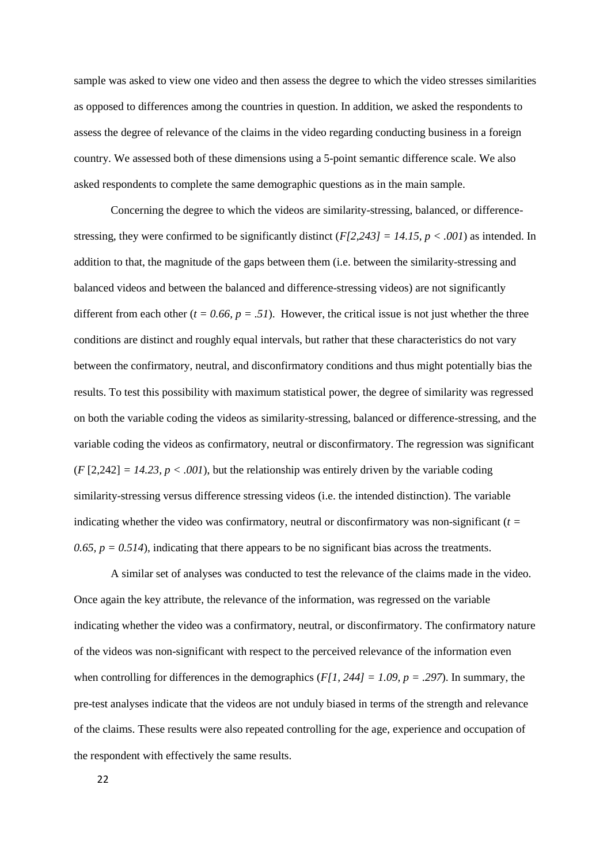sample was asked to view one video and then assess the degree to which the video stresses similarities as opposed to differences among the countries in question. In addition, we asked the respondents to assess the degree of relevance of the claims in the video regarding conducting business in a foreign country. We assessed both of these dimensions using a 5-point semantic difference scale. We also asked respondents to complete the same demographic questions as in the main sample.

Concerning the degree to which the videos are similarity-stressing, balanced, or differencestressing, they were confirmed to be significantly distinct  $(F[2,243] = 14.15, p < .001)$  as intended. In addition to that, the magnitude of the gaps between them (i.e. between the similarity-stressing and balanced videos and between the balanced and difference-stressing videos) are not significantly different from each other ( $t = 0.66$ ,  $p = .51$ ). However, the critical issue is not just whether the three conditions are distinct and roughly equal intervals, but rather that these characteristics do not vary between the confirmatory, neutral, and disconfirmatory conditions and thus might potentially bias the results. To test this possibility with maximum statistical power, the degree of similarity was regressed on both the variable coding the videos as similarity-stressing, balanced or difference-stressing, and the variable coding the videos as confirmatory, neutral or disconfirmatory. The regression was significant  $(F[2,242] = 14.23, p < .001)$ , but the relationship was entirely driven by the variable coding similarity-stressing versus difference stressing videos (i.e. the intended distinction). The variable indicating whether the video was confirmatory, neutral or disconfirmatory was non-significant (*t = 0.65, p = 0.514*), indicating that there appears to be no significant bias across the treatments.

A similar set of analyses was conducted to test the relevance of the claims made in the video. Once again the key attribute, the relevance of the information, was regressed on the variable indicating whether the video was a confirmatory, neutral, or disconfirmatory. The confirmatory nature of the videos was non-significant with respect to the perceived relevance of the information even when controlling for differences in the demographics ( $F[1, 244] = 1.09$ ,  $p = .297$ ). In summary, the pre-test analyses indicate that the videos are not unduly biased in terms of the strength and relevance of the claims. These results were also repeated controlling for the age, experience and occupation of the respondent with effectively the same results.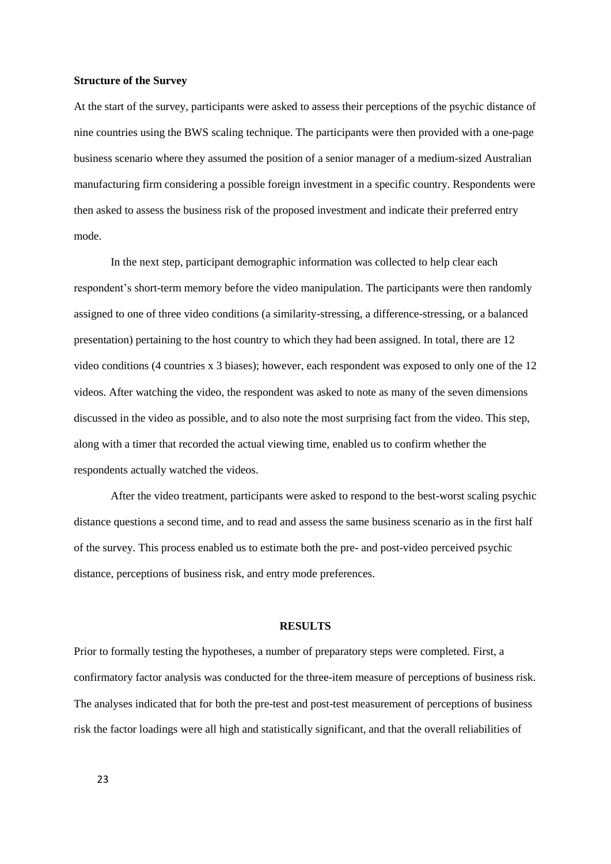#### **Structure of the Survey**

At the start of the survey, participants were asked to assess their perceptions of the psychic distance of nine countries using the BWS scaling technique. The participants were then provided with a one-page business scenario where they assumed the position of a senior manager of a medium-sized Australian manufacturing firm considering a possible foreign investment in a specific country. Respondents were then asked to assess the business risk of the proposed investment and indicate their preferred entry mode.

In the next step, participant demographic information was collected to help clear each respondent's short-term memory before the video manipulation. The participants were then randomly assigned to one of three video conditions (a similarity-stressing, a difference-stressing, or a balanced presentation) pertaining to the host country to which they had been assigned. In total, there are 12 video conditions (4 countries x 3 biases); however, each respondent was exposed to only one of the 12 videos. After watching the video, the respondent was asked to note as many of the seven dimensions discussed in the video as possible, and to also note the most surprising fact from the video. This step, along with a timer that recorded the actual viewing time, enabled us to confirm whether the respondents actually watched the videos.

After the video treatment, participants were asked to respond to the best-worst scaling psychic distance questions a second time, and to read and assess the same business scenario as in the first half of the survey. This process enabled us to estimate both the pre- and post-video perceived psychic distance, perceptions of business risk, and entry mode preferences.

#### **RESULTS**

Prior to formally testing the hypotheses, a number of preparatory steps were completed. First, a confirmatory factor analysis was conducted for the three-item measure of perceptions of business risk. The analyses indicated that for both the pre-test and post-test measurement of perceptions of business risk the factor loadings were all high and statistically significant, and that the overall reliabilities of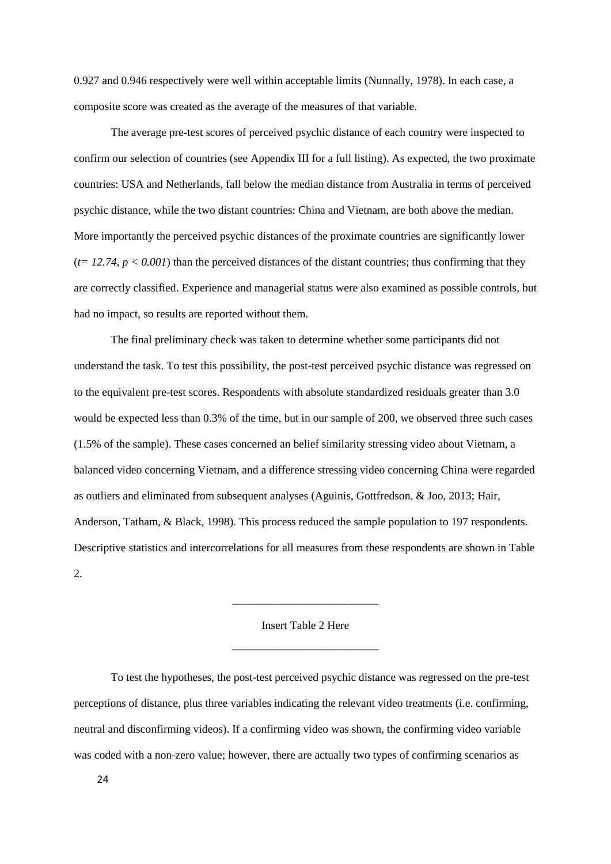0.927 and 0.946 respectively were well within acceptable limits (Nunnally, 1978). In each case, a composite score was created as the average of the measures of that variable.

The average pre-test scores of perceived psychic distance of each country were inspected to confirm our selection of countries (see Appendix III for a full listing). As expected, the two proximate countries: USA and Netherlands, fall below the median distance from Australia in terms of perceived psychic distance, while the two distant countries: China and Vietnam, are both above the median. More importantly the perceived psychic distances of the proximate countries are significantly lower  $(t= 12.74, p < 0.001)$  than the perceived distances of the distant countries; thus confirming that they are correctly classified. Experience and managerial status were also examined as possible controls, but had no impact, so results are reported without them.

The final preliminary check was taken to determine whether some participants did not understand the task. To test this possibility, the post-test perceived psychic distance was regressed on to the equivalent pre-test scores. Respondents with absolute standardized residuals greater than 3.0 would be expected less than 0.3% of the time, but in our sample of 200, we observed three such cases (1.5% of the sample). These cases concerned an belief similarity stressing video about Vietnam, a balanced video concerning Vietnam, and a difference stressing video concerning China were regarded as outliers and eliminated from subsequent analyses (Aguinis, Gottfredson, & Joo, 2013; Hair, Anderson, Tatham, & Black, 1998). This process reduced the sample population to 197 respondents. Descriptive statistics and intercorrelations for all measures from these respondents are shown in Table 2.

# Insert Table 2 Here \_\_\_\_\_\_\_\_\_\_\_\_\_\_\_\_\_\_\_\_\_\_\_\_\_\_

\_\_\_\_\_\_\_\_\_\_\_\_\_\_\_\_\_\_\_\_\_\_\_\_\_\_

To test the hypotheses, the post-test perceived psychic distance was regressed on the pre-test perceptions of distance, plus three variables indicating the relevant video treatments (i.e. confirming, neutral and disconfirming videos). If a confirming video was shown, the confirming video variable was coded with a non-zero value; however, there are actually two types of confirming scenarios as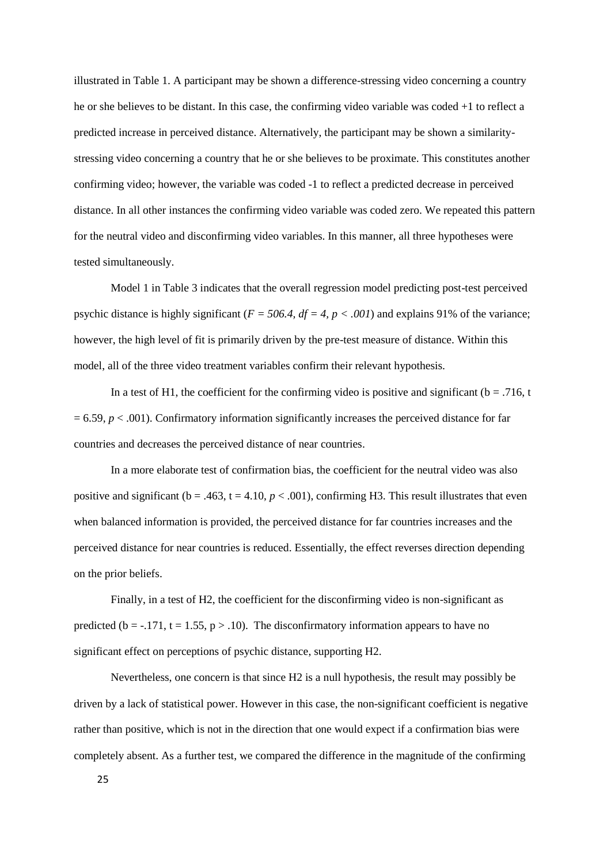illustrated in Table 1. A participant may be shown a difference-stressing video concerning a country he or she believes to be distant. In this case, the confirming video variable was coded +1 to reflect a predicted increase in perceived distance. Alternatively, the participant may be shown a similaritystressing video concerning a country that he or she believes to be proximate. This constitutes another confirming video; however, the variable was coded -1 to reflect a predicted decrease in perceived distance. In all other instances the confirming video variable was coded zero. We repeated this pattern for the neutral video and disconfirming video variables. In this manner, all three hypotheses were tested simultaneously.

Model 1 in Table 3 indicates that the overall regression model predicting post-test perceived psychic distance is highly significant ( $F = 506.4$ ,  $df = 4$ ,  $p < .001$ ) and explains 91% of the variance; however, the high level of fit is primarily driven by the pre-test measure of distance. Within this model, all of the three video treatment variables confirm their relevant hypothesis.

In a test of H1, the coefficient for the confirming video is positive and significant ( $b = .716$ , t  $= 6.59, p < .001$ ). Confirmatory information significantly increases the perceived distance for far countries and decreases the perceived distance of near countries.

In a more elaborate test of confirmation bias, the coefficient for the neutral video was also positive and significant ( $b = .463$ ,  $t = 4.10$ ,  $p < .001$ ), confirming H3. This result illustrates that even when balanced information is provided, the perceived distance for far countries increases and the perceived distance for near countries is reduced. Essentially, the effect reverses direction depending on the prior beliefs.

Finally, in a test of H2, the coefficient for the disconfirming video is non-significant as predicted ( $b = -171$ ,  $t = 1.55$ ,  $p > 0.10$ ). The disconfirmatory information appears to have no significant effect on perceptions of psychic distance, supporting H2.

Nevertheless, one concern is that since H2 is a null hypothesis, the result may possibly be driven by a lack of statistical power. However in this case, the non-significant coefficient is negative rather than positive, which is not in the direction that one would expect if a confirmation bias were completely absent. As a further test, we compared the difference in the magnitude of the confirming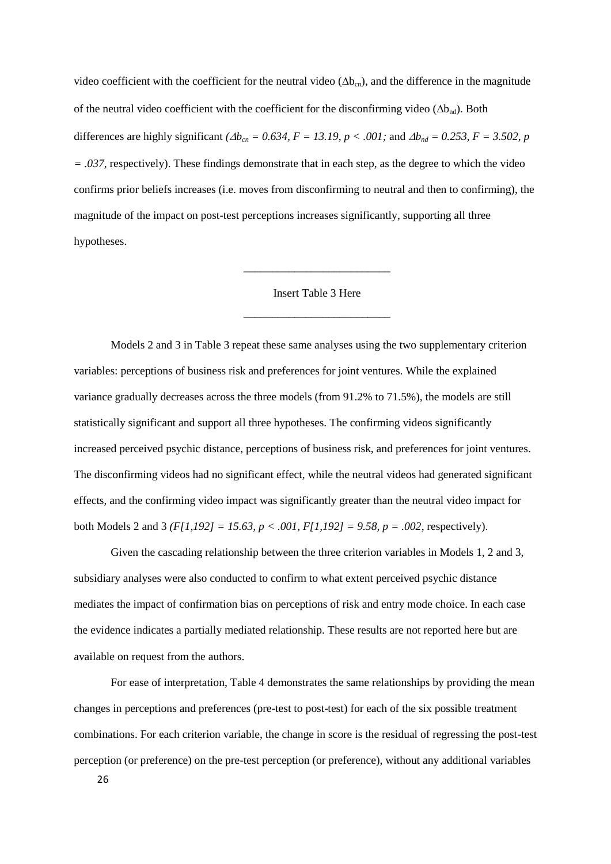video coefficient with the coefficient for the neutral video  $(\Delta b_{cn})$ , and the difference in the magnitude of the neutral video coefficient with the coefficient for the disconfirming video ( $\Delta b_{nd}$ ). Both differences are highly significant  $\Delta b_{cn} = 0.634$ ,  $F = 13.19$ ,  $p < .001$ ; and  $\Delta b_{nd} = 0.253$ ,  $F = 3.502$ , p *= .037*, respectively). These findings demonstrate that in each step, as the degree to which the video confirms prior beliefs increases (i.e. moves from disconfirming to neutral and then to confirming), the magnitude of the impact on post-test perceptions increases significantly, supporting all three hypotheses.

# Insert Table 3 Here \_\_\_\_\_\_\_\_\_\_\_\_\_\_\_\_\_\_\_\_\_\_\_\_\_\_

\_\_\_\_\_\_\_\_\_\_\_\_\_\_\_\_\_\_\_\_\_\_\_\_\_\_

Models 2 and 3 in Table 3 repeat these same analyses using the two supplementary criterion variables: perceptions of business risk and preferences for joint ventures. While the explained variance gradually decreases across the three models (from 91.2% to 71.5%), the models are still statistically significant and support all three hypotheses. The confirming videos significantly increased perceived psychic distance, perceptions of business risk, and preferences for joint ventures. The disconfirming videos had no significant effect, while the neutral videos had generated significant effects, and the confirming video impact was significantly greater than the neutral video impact for both Models 2 and 3  $\langle F[1,192] = 15.63, p < .001, F[1,192] = 9.58, p = .002$ , respectively).

Given the cascading relationship between the three criterion variables in Models 1, 2 and 3, subsidiary analyses were also conducted to confirm to what extent perceived psychic distance mediates the impact of confirmation bias on perceptions of risk and entry mode choice. In each case the evidence indicates a partially mediated relationship. These results are not reported here but are available on request from the authors.

For ease of interpretation, Table 4 demonstrates the same relationships by providing the mean changes in perceptions and preferences (pre-test to post-test) for each of the six possible treatment combinations. For each criterion variable, the change in score is the residual of regressing the post-test perception (or preference) on the pre-test perception (or preference), without any additional variables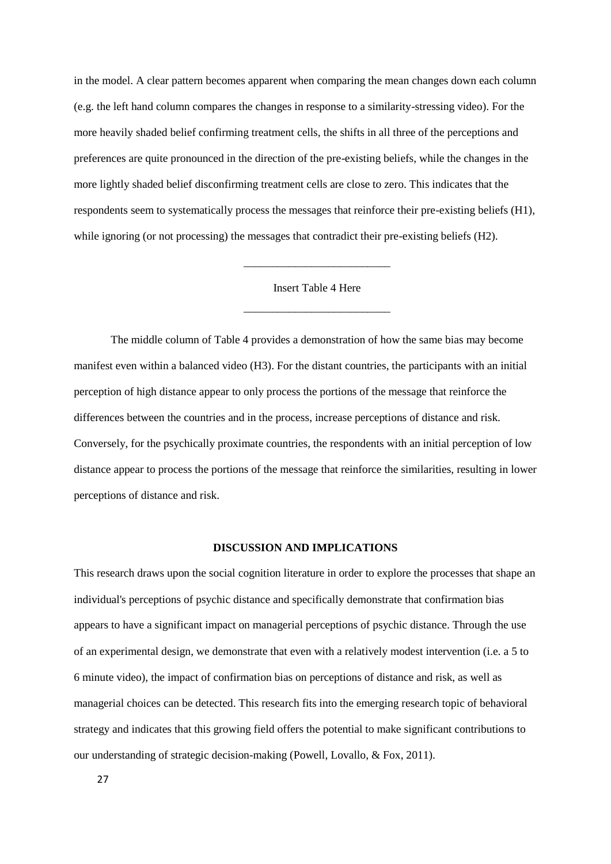in the model. A clear pattern becomes apparent when comparing the mean changes down each column (e.g. the left hand column compares the changes in response to a similarity-stressing video). For the more heavily shaded belief confirming treatment cells, the shifts in all three of the perceptions and preferences are quite pronounced in the direction of the pre-existing beliefs, while the changes in the more lightly shaded belief disconfirming treatment cells are close to zero. This indicates that the respondents seem to systematically process the messages that reinforce their pre-existing beliefs (H1), while ignoring (or not processing) the messages that contradict their pre-existing beliefs (H2).

> Insert Table 4 Here \_\_\_\_\_\_\_\_\_\_\_\_\_\_\_\_\_\_\_\_\_\_\_\_\_\_

> \_\_\_\_\_\_\_\_\_\_\_\_\_\_\_\_\_\_\_\_\_\_\_\_\_\_

The middle column of Table 4 provides a demonstration of how the same bias may become manifest even within a balanced video (H3). For the distant countries, the participants with an initial perception of high distance appear to only process the portions of the message that reinforce the differences between the countries and in the process, increase perceptions of distance and risk. Conversely, for the psychically proximate countries, the respondents with an initial perception of low distance appear to process the portions of the message that reinforce the similarities, resulting in lower perceptions of distance and risk.

#### **DISCUSSION AND IMPLICATIONS**

This research draws upon the social cognition literature in order to explore the processes that shape an individual's perceptions of psychic distance and specifically demonstrate that confirmation bias appears to have a significant impact on managerial perceptions of psychic distance. Through the use of an experimental design, we demonstrate that even with a relatively modest intervention (i.e. a 5 to 6 minute video), the impact of confirmation bias on perceptions of distance and risk, as well as managerial choices can be detected. This research fits into the emerging research topic of behavioral strategy and indicates that this growing field offers the potential to make significant contributions to our understanding of strategic decision-making (Powell, Lovallo, & Fox, 2011).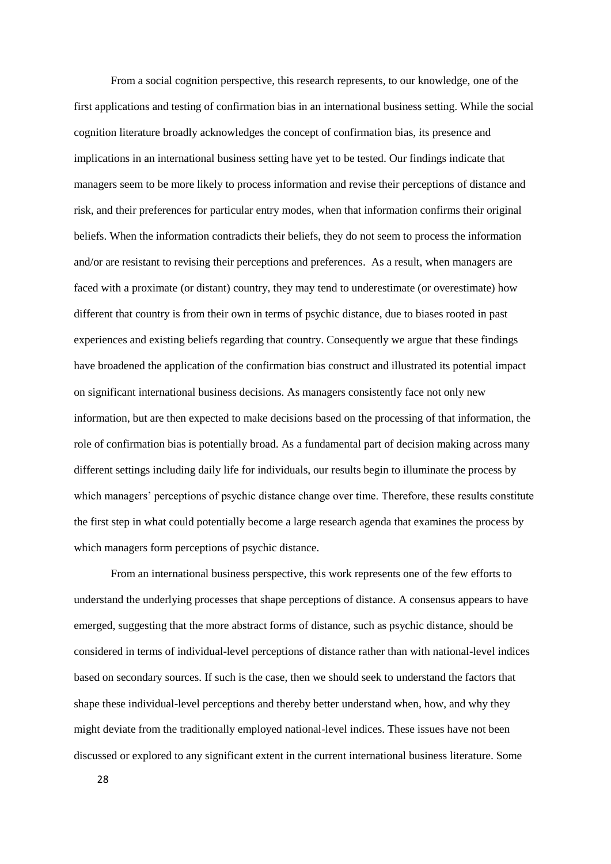From a social cognition perspective, this research represents, to our knowledge, one of the first applications and testing of confirmation bias in an international business setting. While the social cognition literature broadly acknowledges the concept of confirmation bias, its presence and implications in an international business setting have yet to be tested. Our findings indicate that managers seem to be more likely to process information and revise their perceptions of distance and risk, and their preferences for particular entry modes, when that information confirms their original beliefs. When the information contradicts their beliefs, they do not seem to process the information and/or are resistant to revising their perceptions and preferences. As a result, when managers are faced with a proximate (or distant) country, they may tend to underestimate (or overestimate) how different that country is from their own in terms of psychic distance, due to biases rooted in past experiences and existing beliefs regarding that country. Consequently we argue that these findings have broadened the application of the confirmation bias construct and illustrated its potential impact on significant international business decisions. As managers consistently face not only new information, but are then expected to make decisions based on the processing of that information, the role of confirmation bias is potentially broad. As a fundamental part of decision making across many different settings including daily life for individuals, our results begin to illuminate the process by which managers' perceptions of psychic distance change over time. Therefore, these results constitute the first step in what could potentially become a large research agenda that examines the process by which managers form perceptions of psychic distance.

From an international business perspective, this work represents one of the few efforts to understand the underlying processes that shape perceptions of distance. A consensus appears to have emerged, suggesting that the more abstract forms of distance, such as psychic distance, should be considered in terms of individual-level perceptions of distance rather than with national-level indices based on secondary sources. If such is the case, then we should seek to understand the factors that shape these individual-level perceptions and thereby better understand when, how, and why they might deviate from the traditionally employed national-level indices. These issues have not been discussed or explored to any significant extent in the current international business literature. Some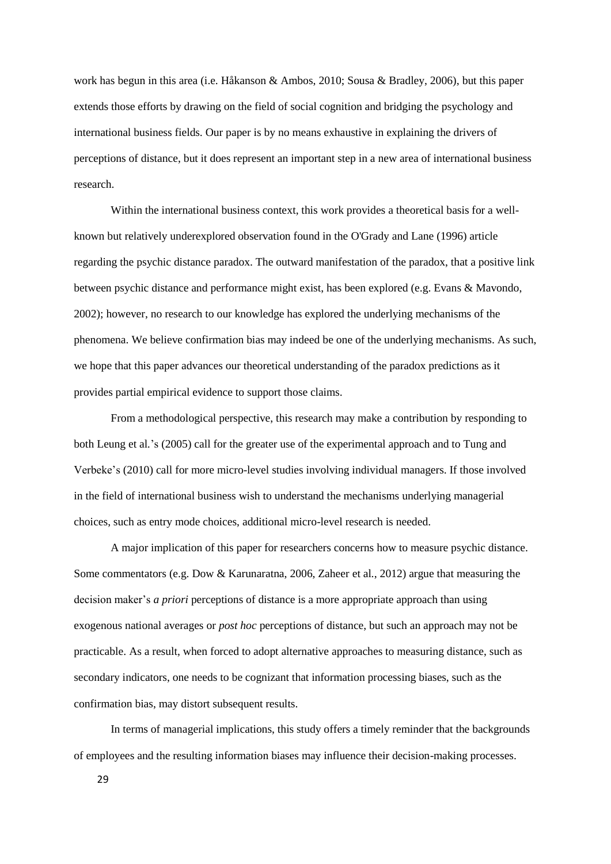work has begun in this area (i.e. Håkanson & Ambos, 2010; Sousa & Bradley, 2006), but this paper extends those efforts by drawing on the field of social cognition and bridging the psychology and international business fields. Our paper is by no means exhaustive in explaining the drivers of perceptions of distance, but it does represent an important step in a new area of international business research.

Within the international business context, this work provides a theoretical basis for a wellknown but relatively underexplored observation found in the O'Grady and Lane (1996) article regarding the psychic distance paradox. The outward manifestation of the paradox, that a positive link between psychic distance and performance might exist, has been explored (e.g. Evans & Mavondo, 2002); however, no research to our knowledge has explored the underlying mechanisms of the phenomena. We believe confirmation bias may indeed be one of the underlying mechanisms. As such, we hope that this paper advances our theoretical understanding of the paradox predictions as it provides partial empirical evidence to support those claims.

From a methodological perspective, this research may make a contribution by responding to both Leung et al*.*'s (2005) call for the greater use of the experimental approach and to Tung and Verbeke's (2010) call for more micro-level studies involving individual managers. If those involved in the field of international business wish to understand the mechanisms underlying managerial choices, such as entry mode choices, additional micro-level research is needed.

A major implication of this paper for researchers concerns how to measure psychic distance. Some commentators (e.g. Dow & Karunaratna, 2006, Zaheer et al*.*, 2012) argue that measuring the decision maker's *a priori* perceptions of distance is a more appropriate approach than using exogenous national averages or *post hoc* perceptions of distance, but such an approach may not be practicable. As a result, when forced to adopt alternative approaches to measuring distance, such as secondary indicators, one needs to be cognizant that information processing biases, such as the confirmation bias, may distort subsequent results.

In terms of managerial implications, this study offers a timely reminder that the backgrounds of employees and the resulting information biases may influence their decision-making processes.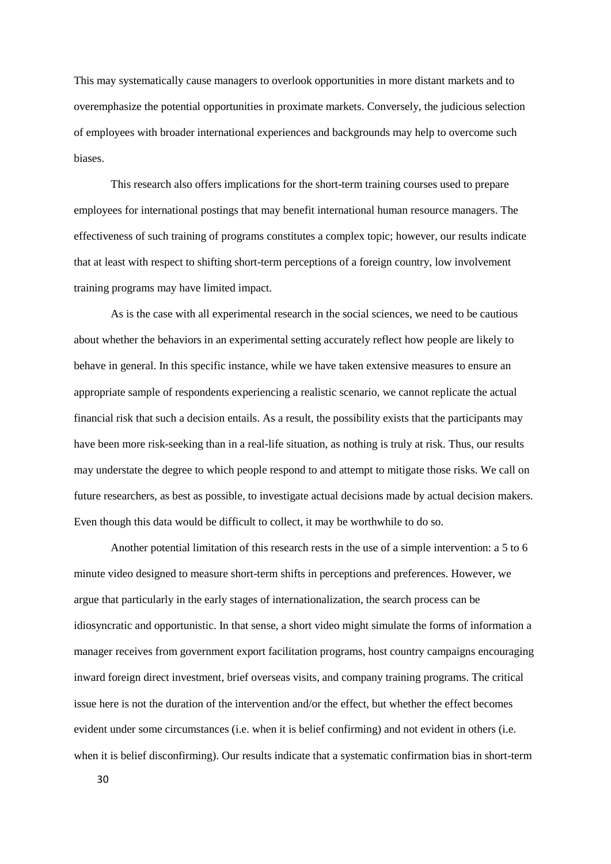This may systematically cause managers to overlook opportunities in more distant markets and to overemphasize the potential opportunities in proximate markets. Conversely, the judicious selection of employees with broader international experiences and backgrounds may help to overcome such biases.

This research also offers implications for the short-term training courses used to prepare employees for international postings that may benefit international human resource managers. The effectiveness of such training of programs constitutes a complex topic; however, our results indicate that at least with respect to shifting short-term perceptions of a foreign country, low involvement training programs may have limited impact.

As is the case with all experimental research in the social sciences, we need to be cautious about whether the behaviors in an experimental setting accurately reflect how people are likely to behave in general. In this specific instance, while we have taken extensive measures to ensure an appropriate sample of respondents experiencing a realistic scenario, we cannot replicate the actual financial risk that such a decision entails. As a result, the possibility exists that the participants may have been more risk-seeking than in a real-life situation, as nothing is truly at risk. Thus, our results may understate the degree to which people respond to and attempt to mitigate those risks. We call on future researchers, as best as possible, to investigate actual decisions made by actual decision makers. Even though this data would be difficult to collect, it may be worthwhile to do so.

Another potential limitation of this research rests in the use of a simple intervention: a 5 to 6 minute video designed to measure short-term shifts in perceptions and preferences. However, we argue that particularly in the early stages of internationalization, the search process can be idiosyncratic and opportunistic. In that sense, a short video might simulate the forms of information a manager receives from government export facilitation programs, host country campaigns encouraging inward foreign direct investment, brief overseas visits, and company training programs. The critical issue here is not the duration of the intervention and/or the effect, but whether the effect becomes evident under some circumstances (i.e. when it is belief confirming) and not evident in others (i.e. when it is belief disconfirming). Our results indicate that a systematic confirmation bias in short-term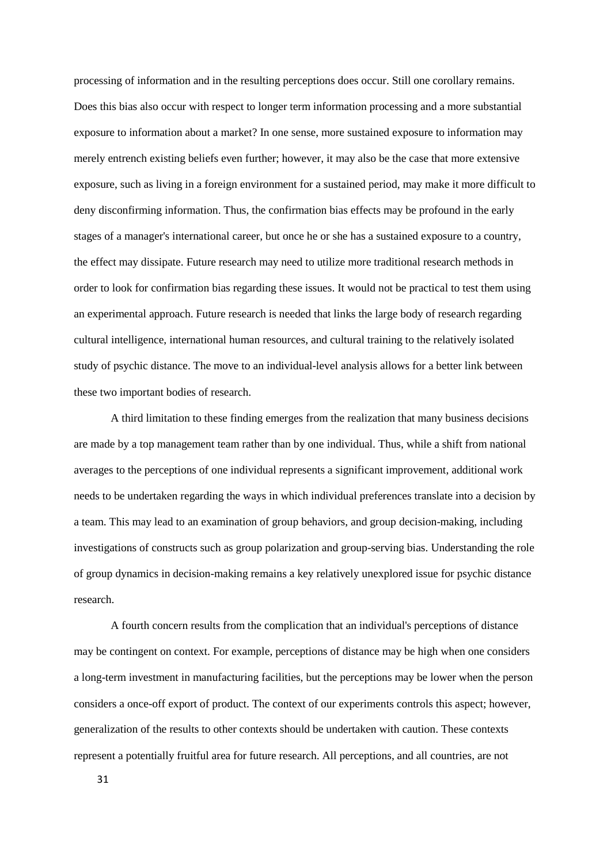processing of information and in the resulting perceptions does occur. Still one corollary remains. Does this bias also occur with respect to longer term information processing and a more substantial exposure to information about a market? In one sense, more sustained exposure to information may merely entrench existing beliefs even further; however, it may also be the case that more extensive exposure, such as living in a foreign environment for a sustained period, may make it more difficult to deny disconfirming information. Thus, the confirmation bias effects may be profound in the early stages of a manager's international career, but once he or she has a sustained exposure to a country, the effect may dissipate. Future research may need to utilize more traditional research methods in order to look for confirmation bias regarding these issues. It would not be practical to test them using an experimental approach. Future research is needed that links the large body of research regarding cultural intelligence, international human resources, and cultural training to the relatively isolated study of psychic distance. The move to an individual-level analysis allows for a better link between these two important bodies of research.

A third limitation to these finding emerges from the realization that many business decisions are made by a top management team rather than by one individual. Thus, while a shift from national averages to the perceptions of one individual represents a significant improvement, additional work needs to be undertaken regarding the ways in which individual preferences translate into a decision by a team. This may lead to an examination of group behaviors, and group decision-making, including investigations of constructs such as group polarization and group-serving bias. Understanding the role of group dynamics in decision-making remains a key relatively unexplored issue for psychic distance research.

A fourth concern results from the complication that an individual's perceptions of distance may be contingent on context. For example, perceptions of distance may be high when one considers a long-term investment in manufacturing facilities, but the perceptions may be lower when the person considers a once-off export of product. The context of our experiments controls this aspect; however, generalization of the results to other contexts should be undertaken with caution. These contexts represent a potentially fruitful area for future research. All perceptions, and all countries, are not

31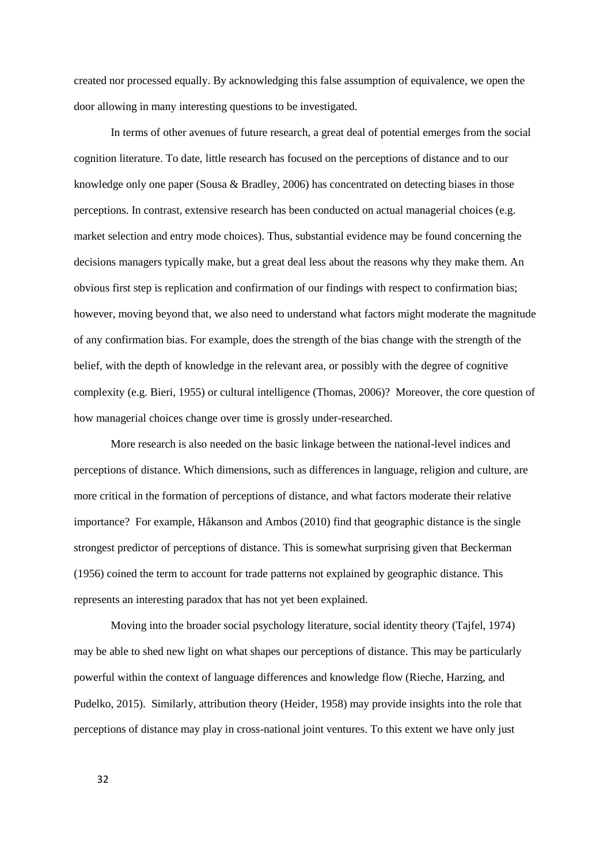created nor processed equally. By acknowledging this false assumption of equivalence, we open the door allowing in many interesting questions to be investigated.

In terms of other avenues of future research, a great deal of potential emerges from the social cognition literature. To date, little research has focused on the perceptions of distance and to our knowledge only one paper (Sousa & Bradley, 2006) has concentrated on detecting biases in those perceptions. In contrast, extensive research has been conducted on actual managerial choices (e.g. market selection and entry mode choices). Thus, substantial evidence may be found concerning the decisions managers typically make, but a great deal less about the reasons why they make them. An obvious first step is replication and confirmation of our findings with respect to confirmation bias; however, moving beyond that, we also need to understand what factors might moderate the magnitude of any confirmation bias. For example, does the strength of the bias change with the strength of the belief, with the depth of knowledge in the relevant area, or possibly with the degree of cognitive complexity (e.g. Bieri, 1955) or cultural intelligence (Thomas, 2006)? Moreover, the core question of how managerial choices change over time is grossly under-researched.

More research is also needed on the basic linkage between the national-level indices and perceptions of distance. Which dimensions, such as differences in language, religion and culture, are more critical in the formation of perceptions of distance, and what factors moderate their relative importance? For example, Håkanson and Ambos (2010) find that geographic distance is the single strongest predictor of perceptions of distance. This is somewhat surprising given that Beckerman (1956) coined the term to account for trade patterns not explained by geographic distance. This represents an interesting paradox that has not yet been explained.

Moving into the broader social psychology literature, social identity theory (Tajfel, 1974) may be able to shed new light on what shapes our perceptions of distance. This may be particularly powerful within the context of language differences and knowledge flow (Rieche, Harzing, and Pudelko, 2015). Similarly, attribution theory (Heider, 1958) may provide insights into the role that perceptions of distance may play in cross-national joint ventures. To this extent we have only just

32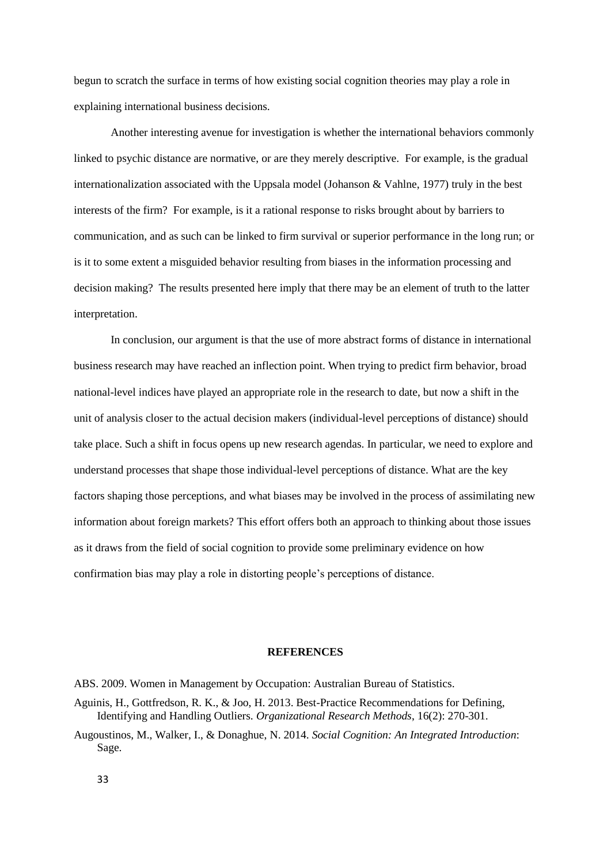begun to scratch the surface in terms of how existing social cognition theories may play a role in explaining international business decisions.

Another interesting avenue for investigation is whether the international behaviors commonly linked to psychic distance are normative, or are they merely descriptive. For example, is the gradual internationalization associated with the Uppsala model (Johanson & Vahlne, 1977) truly in the best interests of the firm? For example, is it a rational response to risks brought about by barriers to communication, and as such can be linked to firm survival or superior performance in the long run; or is it to some extent a misguided behavior resulting from biases in the information processing and decision making? The results presented here imply that there may be an element of truth to the latter interpretation.

In conclusion, our argument is that the use of more abstract forms of distance in international business research may have reached an inflection point. When trying to predict firm behavior, broad national-level indices have played an appropriate role in the research to date, but now a shift in the unit of analysis closer to the actual decision makers (individual-level perceptions of distance) should take place. Such a shift in focus opens up new research agendas. In particular, we need to explore and understand processes that shape those individual-level perceptions of distance. What are the key factors shaping those perceptions, and what biases may be involved in the process of assimilating new information about foreign markets? This effort offers both an approach to thinking about those issues as it draws from the field of social cognition to provide some preliminary evidence on how confirmation bias may play a role in distorting people's perceptions of distance.

#### **REFERENCES**

ABS. 2009. Women in Management by Occupation: Australian Bureau of Statistics.

Aguinis, H., Gottfredson, R. K., & Joo, H. 2013. Best-Practice Recommendations for Defining, Identifying and Handling Outliers. *Organizational Research Methods*, 16(2): 270-301.

Augoustinos, M., Walker, I., & Donaghue, N. 2014. *Social Cognition: An Integrated Introduction*: Sage.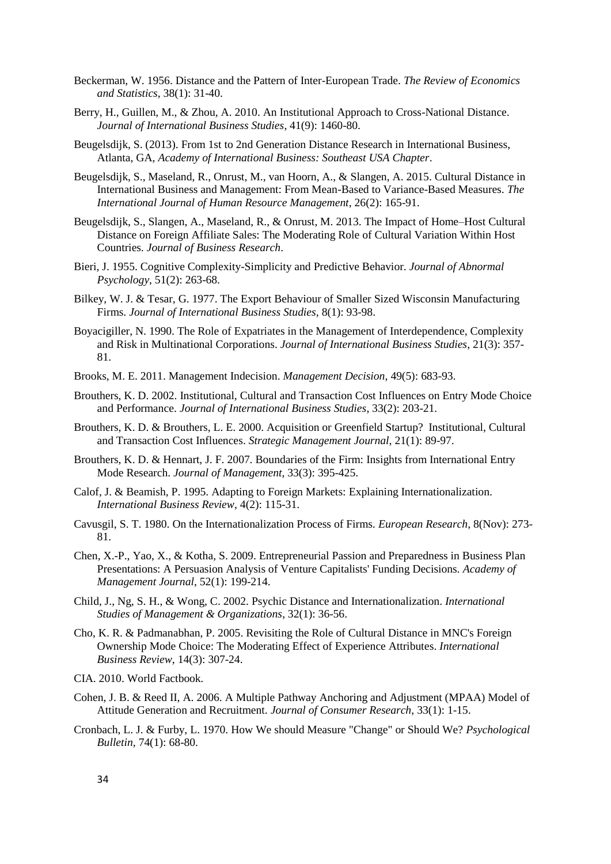- Beckerman, W. 1956. Distance and the Pattern of Inter-European Trade. *The Review of Economics and Statistics*, 38(1): 31-40.
- Berry, H., Guillen, M., & Zhou, A. 2010. An Institutional Approach to Cross-National Distance. *Journal of International Business Studies*, 41(9): 1460-80.
- Beugelsdijk, S. (2013). From 1st to 2nd Generation Distance Research in International Business, Atlanta, GA, *Academy of International Business: Southeast USA Chapter*.
- Beugelsdijk, S., Maseland, R., Onrust, M., van Hoorn, A., & Slangen, A. 2015. Cultural Distance in International Business and Management: From Mean-Based to Variance-Based Measures. *The International Journal of Human Resource Management*, 26(2): 165-91.
- Beugelsdijk, S., Slangen, A., Maseland, R., & Onrust, M. 2013. The Impact of Home–Host Cultural Distance on Foreign Affiliate Sales: The Moderating Role of Cultural Variation Within Host Countries. *Journal of Business Research*.
- Bieri, J. 1955. Cognitive Complexity-Simplicity and Predictive Behavior. *Journal of Abnormal Psychology*, 51(2): 263-68.
- Bilkey, W. J. & Tesar, G. 1977. The Export Behaviour of Smaller Sized Wisconsin Manufacturing Firms. *Journal of International Business Studies*, 8(1): 93-98.
- Boyacigiller, N. 1990. The Role of Expatriates in the Management of Interdependence, Complexity and Risk in Multinational Corporations. *Journal of International Business Studies*, 21(3): 357- 81.
- Brooks, M. E. 2011. Management Indecision. *Management Decision*, 49(5): 683-93.
- Brouthers, K. D. 2002. Institutional, Cultural and Transaction Cost Influences on Entry Mode Choice and Performance. *Journal of International Business Studies*, 33(2): 203-21.
- Brouthers, K. D. & Brouthers, L. E. 2000. Acquisition or Greenfield Startup? Institutional, Cultural and Transaction Cost Influences. *Strategic Management Journal*, 21(1): 89-97.
- Brouthers, K. D. & Hennart, J. F. 2007. Boundaries of the Firm: Insights from International Entry Mode Research. *Journal of Management*, 33(3): 395-425.
- Calof, J. & Beamish, P. 1995. Adapting to Foreign Markets: Explaining Internationalization. *International Business Review*, 4(2): 115-31.
- Cavusgil, S. T. 1980. On the Internationalization Process of Firms. *European Research*, 8(Nov): 273- 81.
- Chen, X.-P., Yao, X., & Kotha, S. 2009. Entrepreneurial Passion and Preparedness in Business Plan Presentations: A Persuasion Analysis of Venture Capitalists' Funding Decisions. *Academy of Management Journal*, 52(1): 199-214.
- Child, J., Ng, S. H., & Wong, C. 2002. Psychic Distance and Internationalization. *International Studies of Management & Organizations*, 32(1): 36-56.
- Cho, K. R. & Padmanabhan, P. 2005. Revisiting the Role of Cultural Distance in MNC's Foreign Ownership Mode Choice: The Moderating Effect of Experience Attributes. *International Business Review*, 14(3): 307-24.

CIA. 2010. World Factbook.

- Cohen, J. B. & Reed II, A. 2006. A Multiple Pathway Anchoring and Adjustment (MPAA) Model of Attitude Generation and Recruitment. *Journal of Consumer Research*, 33(1): 1-15.
- Cronbach, L. J. & Furby, L. 1970. How We should Measure "Change" or Should We? *Psychological Bulletin*, 74(1): 68-80.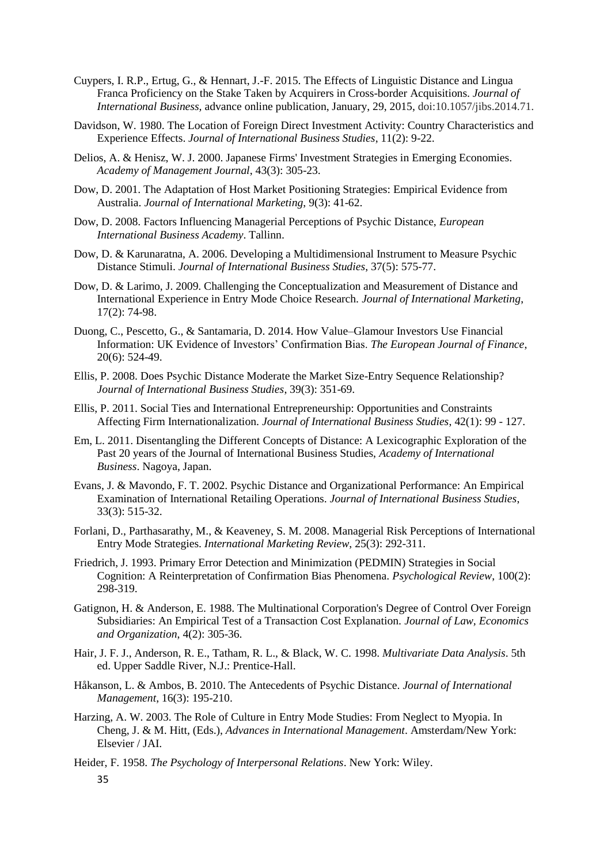- Cuypers, I. R.P., Ertug, G., & Hennart, J.-F. 2015. The Effects of Linguistic Distance and Lingua Franca Proficiency on the Stake Taken by Acquirers in Cross-border Acquisitions. *Journal of International Business,* advance online publication, January, 29, 2015, doi:10.1057/jibs.2014.71.
- Davidson, W. 1980. The Location of Foreign Direct Investment Activity: Country Characteristics and Experience Effects. *Journal of International Business Studies*, 11(2): 9-22.
- Delios, A. & Henisz, W. J. 2000. Japanese Firms' Investment Strategies in Emerging Economies. *Academy of Management Journal*, 43(3): 305-23.
- Dow, D. 2001. The Adaptation of Host Market Positioning Strategies: Empirical Evidence from Australia. *Journal of International Marketing*, 9(3): 41-62.
- Dow, D. 2008. Factors Influencing Managerial Perceptions of Psychic Distance, *European International Business Academy*. Tallinn.
- Dow, D. & Karunaratna, A. 2006. Developing a Multidimensional Instrument to Measure Psychic Distance Stimuli. *Journal of International Business Studies*, 37(5): 575-77.
- Dow, D. & Larimo, J. 2009. Challenging the Conceptualization and Measurement of Distance and International Experience in Entry Mode Choice Research. *Journal of International Marketing*, 17(2): 74-98.
- Duong, C., Pescetto, G., & Santamaria, D. 2014. How Value–Glamour Investors Use Financial Information: UK Evidence of Investors' Confirmation Bias. *The European Journal of Finance*, 20(6): 524-49.
- Ellis, P. 2008. Does Psychic Distance Moderate the Market Size-Entry Sequence Relationship? *Journal of International Business Studies*, 39(3): 351-69.
- Ellis, P. 2011. Social Ties and International Entrepreneurship: Opportunities and Constraints Affecting Firm Internationalization. *Journal of International Business Studies*, 42(1): 99 - 127.
- Em, L. 2011. Disentangling the Different Concepts of Distance: A Lexicographic Exploration of the Past 20 years of the Journal of International Business Studies, *Academy of International Business*. Nagoya, Japan.
- Evans, J. & Mavondo, F. T. 2002. Psychic Distance and Organizational Performance: An Empirical Examination of International Retailing Operations. *Journal of International Business Studies*, 33(3): 515-32.
- Forlani, D., Parthasarathy, M., & Keaveney, S. M. 2008. Managerial Risk Perceptions of International Entry Mode Strategies. *International Marketing Review*, 25(3): 292-311.
- Friedrich, J. 1993. Primary Error Detection and Minimization (PEDMIN) Strategies in Social Cognition: A Reinterpretation of Confirmation Bias Phenomena. *Psychological Review*, 100(2): 298-319.
- Gatignon, H. & Anderson, E. 1988. The Multinational Corporation's Degree of Control Over Foreign Subsidiaries: An Empirical Test of a Transaction Cost Explanation. *Journal of Law, Economics and Organization*, 4(2): 305-36.
- Hair, J. F. J., Anderson, R. E., Tatham, R. L., & Black, W. C. 1998. *Multivariate Data Analysis*. 5th ed. Upper Saddle River, N.J.: Prentice-Hall.
- Håkanson, L. & Ambos, B. 2010. The Antecedents of Psychic Distance. *Journal of International Management*, 16(3): 195-210.
- Harzing, A. W. 2003. The Role of Culture in Entry Mode Studies: From Neglect to Myopia. In Cheng, J. & M. Hitt, (Eds.), *Advances in International Management*. Amsterdam/New York: Elsevier / JAI.
- 35 Heider, F. 1958. *The Psychology of Interpersonal Relations*. New York: Wiley.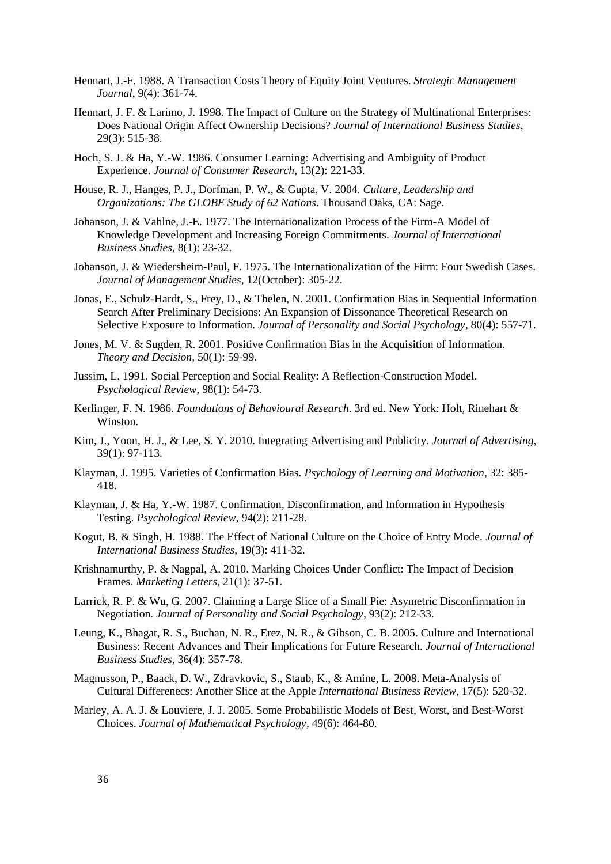- Hennart, J.-F. 1988. A Transaction Costs Theory of Equity Joint Ventures. *Strategic Management Journal*, 9(4): 361-74.
- Hennart, J. F. & Larimo, J. 1998. The Impact of Culture on the Strategy of Multinational Enterprises: Does National Origin Affect Ownership Decisions? *Journal of International Business Studies*, 29(3): 515-38.
- Hoch, S. J. & Ha, Y.-W. 1986. Consumer Learning: Advertising and Ambiguity of Product Experience. *Journal of Consumer Research*, 13(2): 221-33.
- House, R. J., Hanges, P. J., Dorfman, P. W., & Gupta, V. 2004. *Culture, Leadership and Organizations: The GLOBE Study of 62 Nations*. Thousand Oaks, CA: Sage.
- Johanson, J. & Vahlne, J.-E. 1977. The Internationalization Process of the Firm-A Model of Knowledge Development and Increasing Foreign Commitments. *Journal of International Business Studies*, 8(1): 23-32.
- Johanson, J. & Wiedersheim-Paul, F. 1975. The Internationalization of the Firm: Four Swedish Cases. *Journal of Management Studies*, 12(October): 305-22.
- Jonas, E., Schulz-Hardt, S., Frey, D., & Thelen, N. 2001. Confirmation Bias in Sequential Information Search After Preliminary Decisions: An Expansion of Dissonance Theoretical Research on Selective Exposure to Information. *Journal of Personality and Social Psychology*, 80(4): 557-71.
- Jones, M. V. & Sugden, R. 2001. Positive Confirmation Bias in the Acquisition of Information. *Theory and Decision*, 50(1): 59-99.
- Jussim, L. 1991. Social Perception and Social Reality: A Reflection-Construction Model. *Psychological Review*, 98(1): 54-73.
- Kerlinger, F. N. 1986. *Foundations of Behavioural Research*. 3rd ed. New York: Holt, Rinehart & Winston.
- Kim, J., Yoon, H. J., & Lee, S. Y. 2010. Integrating Advertising and Publicity. *Journal of Advertising*, 39(1): 97-113.
- Klayman, J. 1995. Varieties of Confirmation Bias. *Psychology of Learning and Motivation*, 32: 385- 418.
- Klayman, J. & Ha, Y.-W. 1987. Confirmation, Disconfirmation, and Information in Hypothesis Testing. *Psychological Review*, 94(2): 211-28.
- Kogut, B. & Singh, H. 1988. The Effect of National Culture on the Choice of Entry Mode. *Journal of International Business Studies*, 19(3): 411-32.
- Krishnamurthy, P. & Nagpal, A. 2010. Marking Choices Under Conflict: The Impact of Decision Frames. *Marketing Letters*, 21(1): 37-51.
- Larrick, R. P. & Wu, G. 2007. Claiming a Large Slice of a Small Pie: Asymetric Disconfirmation in Negotiation. *Journal of Personality and Social Psychology*, 93(2): 212-33.
- Leung, K., Bhagat, R. S., Buchan, N. R., Erez, N. R., & Gibson, C. B. 2005. Culture and International Business: Recent Advances and Their Implications for Future Research. *Journal of International Business Studies*, 36(4): 357-78.
- Magnusson, P., Baack, D. W., Zdravkovic, S., Staub, K., & Amine, L. 2008. Meta-Analysis of Cultural Differenecs: Another Slice at the Apple *International Business Review*, 17(5): 520-32.
- Marley, A. A. J. & Louviere, J. J. 2005. Some Probabilistic Models of Best, Worst, and Best-Worst Choices. *Journal of Mathematical Psychology*, 49(6): 464-80.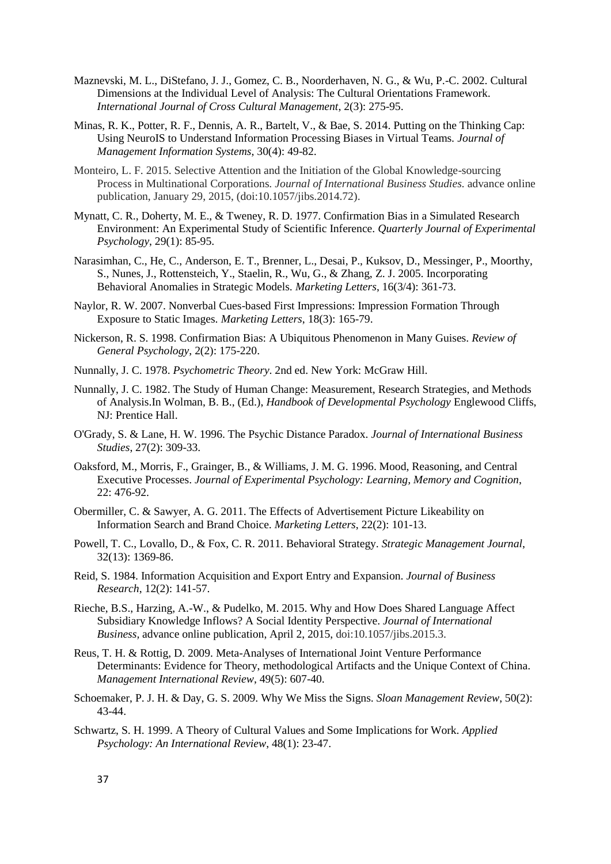- Maznevski, M. L., DiStefano, J. J., Gomez, C. B., Noorderhaven, N. G., & Wu, P.-C. 2002. Cultural Dimensions at the Individual Level of Analysis: The Cultural Orientations Framework. *International Journal of Cross Cultural Management*, 2(3): 275-95.
- Minas, R. K., Potter, R. F., Dennis, A. R., Bartelt, V., & Bae, S. 2014. Putting on the Thinking Cap: Using NeuroIS to Understand Information Processing Biases in Virtual Teams. *Journal of Management Information Systems*, 30(4): 49-82.
- Monteiro, L. F. 2015. Selective Attention and the Initiation of the Global Knowledge-sourcing Process in Multinational Corporations. *Journal of International Business Studies.* advance online publication, January 29, 2015, (doi:10.1057/jibs.2014.72).
- Mynatt, C. R., Doherty, M. E., & Tweney, R. D. 1977. Confirmation Bias in a Simulated Research Environment: An Experimental Study of Scientific Inference. *Quarterly Journal of Experimental Psychology*, 29(1): 85-95.
- Narasimhan, C., He, C., Anderson, E. T., Brenner, L., Desai, P., Kuksov, D., Messinger, P., Moorthy, S., Nunes, J., Rottensteich, Y., Staelin, R., Wu, G., & Zhang, Z. J. 2005. Incorporating Behavioral Anomalies in Strategic Models. *Marketing Letters*, 16(3/4): 361-73.
- Naylor, R. W. 2007. Nonverbal Cues-based First Impressions: Impression Formation Through Exposure to Static Images. *Marketing Letters*, 18(3): 165-79.
- Nickerson, R. S. 1998. Confirmation Bias: A Ubiquitous Phenomenon in Many Guises. *Review of General Psychology*, 2(2): 175-220.
- Nunnally, J. C. 1978. *Psychometric Theory*. 2nd ed. New York: McGraw Hill.
- Nunnally, J. C. 1982. The Study of Human Change: Measurement, Research Strategies, and Methods of Analysis.In Wolman, B. B., (Ed.), *Handbook of Developmental Psychology* Englewood Cliffs, NJ: Prentice Hall.
- O'Grady, S. & Lane, H. W. 1996. The Psychic Distance Paradox. *Journal of International Business Studies*, 27(2): 309-33.
- Oaksford, M., Morris, F., Grainger, B., & Williams, J. M. G. 1996. Mood, Reasoning, and Central Executive Processes. *Journal of Experimental Psychology: Learning, Memory and Cognition*, 22: 476-92.
- Obermiller, C. & Sawyer, A. G. 2011. The Effects of Advertisement Picture Likeability on Information Search and Brand Choice. *Marketing Letters*, 22(2): 101-13.
- Powell, T. C., Lovallo, D., & Fox, C. R. 2011. Behavioral Strategy. *Strategic Management Journal*, 32(13): 1369-86.
- Reid, S. 1984. Information Acquisition and Export Entry and Expansion. *Journal of Business Research*, 12(2): 141-57.
- Rieche, B.S., Harzing, A.-W., & Pudelko, M. 2015. Why and How Does Shared Language Affect Subsidiary Knowledge Inflows? A Social Identity Perspective. *Journal of International Business,* advance online publication, April 2, 2015, doi:10.1057/jibs.2015.3.
- Reus, T. H. & Rottig, D. 2009. Meta-Analyses of International Joint Venture Performance Determinants: Evidence for Theory, methodological Artifacts and the Unique Context of China. *Management International Review*, 49(5): 607-40.
- Schoemaker, P. J. H. & Day, G. S. 2009. Why We Miss the Signs. *Sloan Management Review*, 50(2): 43-44.
- Schwartz, S. H. 1999. A Theory of Cultural Values and Some Implications for Work. *Applied Psychology: An International Review*, 48(1): 23-47.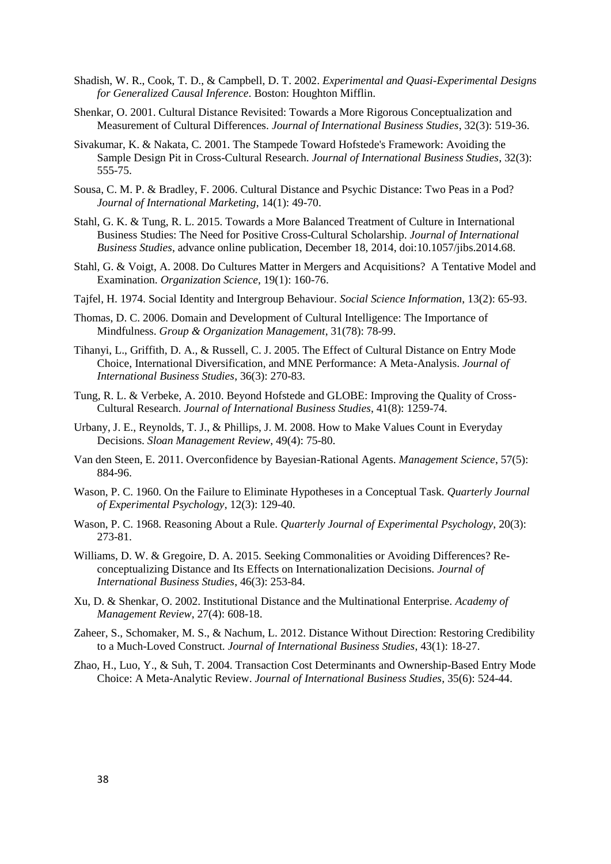- Shadish, W. R., Cook, T. D., & Campbell, D. T. 2002. *Experimental and Quasi-Experimental Designs for Generalized Causal Inference*. Boston: Houghton Mifflin.
- Shenkar, O. 2001. Cultural Distance Revisited: Towards a More Rigorous Conceptualization and Measurement of Cultural Differences. *Journal of International Business Studies*, 32(3): 519-36.
- Sivakumar, K. & Nakata, C. 2001. The Stampede Toward Hofstede's Framework: Avoiding the Sample Design Pit in Cross-Cultural Research. *Journal of International Business Studies*, 32(3): 555-75.
- Sousa, C. M. P. & Bradley, F. 2006. Cultural Distance and Psychic Distance: Two Peas in a Pod? *Journal of International Marketing*, 14(1): 49-70.
- Stahl, G. K. & Tung, R. L. 2015. Towards a More Balanced Treatment of Culture in International Business Studies: The Need for Positive Cross-Cultural Scholarship. *Journal of International Business Studies*, advance online publication, December 18, 2014, doi:10.1057/jibs.2014.68.
- Stahl, G. & Voigt, A. 2008. Do Cultures Matter in Mergers and Acquisitions? A Tentative Model and Examination. *Organization Science*, 19(1): 160-76.
- Tajfel, H. 1974. Social Identity and Intergroup Behaviour. *Social Science Information*, 13(2): 65-93.
- Thomas, D. C. 2006. Domain and Development of Cultural Intelligence: The Importance of Mindfulness. *Group & Organization Management*, 31(78): 78-99.
- Tihanyi, L., Griffith, D. A., & Russell, C. J. 2005. The Effect of Cultural Distance on Entry Mode Choice, International Diversification, and MNE Performance: A Meta-Analysis. *Journal of International Business Studies*, 36(3): 270-83.
- Tung, R. L. & Verbeke, A. 2010. Beyond Hofstede and GLOBE: Improving the Quality of Cross-Cultural Research. *Journal of International Business Studies*, 41(8): 1259-74.
- Urbany, J. E., Reynolds, T. J., & Phillips, J. M. 2008. How to Make Values Count in Everyday Decisions. *Sloan Management Review*, 49(4): 75-80.
- Van den Steen, E. 2011. Overconfidence by Bayesian-Rational Agents. *Management Science*, 57(5): 884-96.
- Wason, P. C. 1960. On the Failure to Eliminate Hypotheses in a Conceptual Task. *Quarterly Journal of Experimental Psychology*, 12(3): 129-40.
- Wason, P. C. 1968. Reasoning About a Rule. *Quarterly Journal of Experimental Psychology*, 20(3): 273-81.
- Williams, D. W. & Gregoire, D. A. 2015. Seeking Commonalities or Avoiding Differences? Reconceptualizing Distance and Its Effects on Internationalization Decisions. *Journal of International Business Studies*, 46(3): 253-84.
- Xu, D. & Shenkar, O. 2002. Institutional Distance and the Multinational Enterprise. *Academy of Management Review*, 27(4): 608-18.
- Zaheer, S., Schomaker, M. S., & Nachum, L. 2012. Distance Without Direction: Restoring Credibility to a Much-Loved Construct. *Journal of International Business Studies*, 43(1): 18-27.
- Zhao, H., Luo, Y., & Suh, T. 2004. Transaction Cost Determinants and Ownership-Based Entry Mode Choice: A Meta-Analytic Review. *Journal of International Business Studies*, 35(6): 524-44.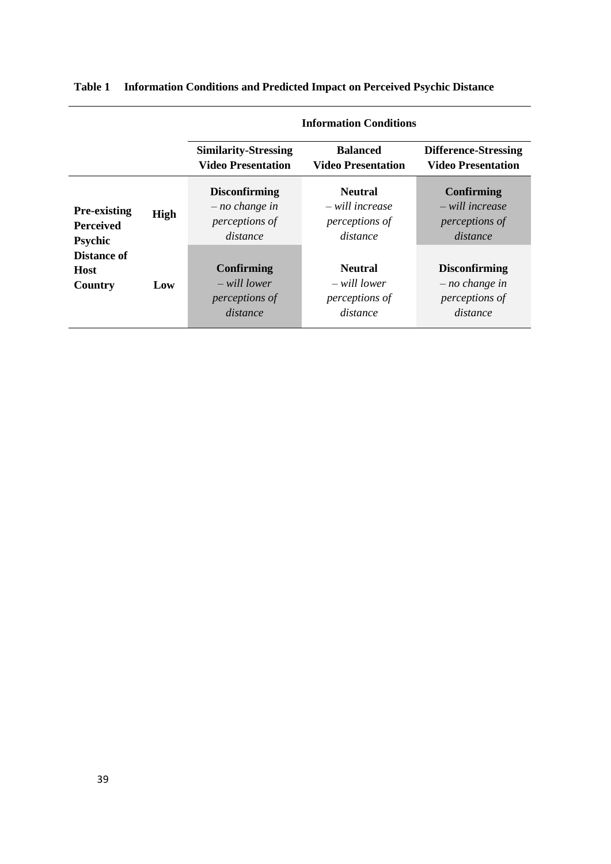|                                                           |             | <b>Information Conditions</b>                                                 |                                                                 |                                                                        |
|-----------------------------------------------------------|-------------|-------------------------------------------------------------------------------|-----------------------------------------------------------------|------------------------------------------------------------------------|
|                                                           |             | <b>Similarity-Stressing</b><br><b>Video Presentation</b>                      | <b>Balanced</b><br><b>Video Presentation</b>                    | <b>Difference-Stressing</b><br><b>Video Presentation</b>               |
| <b>Pre-existing</b><br><b>Perceived</b><br><b>Psychic</b> | <b>High</b> | <b>Disconfirming</b><br>$-$ no change in<br><i>perceptions of</i><br>distance | <b>Neutral</b><br>- will increase<br>perceptions of<br>distance | Confirming<br>– will increase<br>perceptions of<br><i>distance</i>     |
| <b>Distance of</b><br><b>Host</b><br>Country              | Low         | <b>Confirming</b><br>$-$ will lower<br><i>perceptions of</i><br>distance      | <b>Neutral</b><br>$-$ will lower<br>perceptions of<br>distance  | <b>Disconfirming</b><br>$-$ no change in<br>perceptions of<br>distance |

# **Table 1 Information Conditions and Predicted Impact on Perceived Psychic Distance**

÷.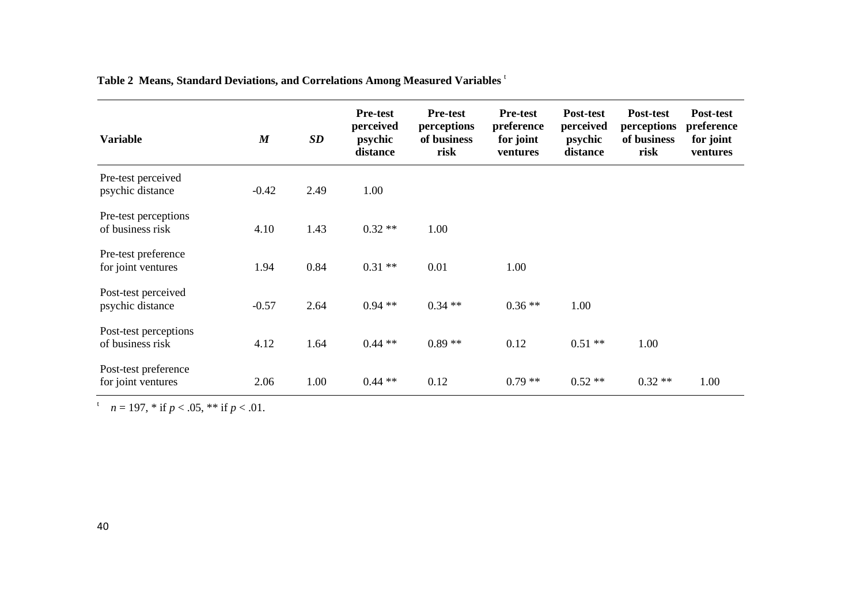| <b>Variable</b>                            | $\boldsymbol{M}$ | SD   | <b>Pre-test</b><br>perceived<br>psychic<br>distance | <b>Pre-test</b><br>perceptions<br>of business<br>risk | <b>Pre-test</b><br>preference<br>for joint<br>ventures | Post-test<br>perceived<br>psychic<br>distance | Post-test<br>perceptions<br>of business<br>risk | Post-test<br>preference<br>for joint<br>ventures |
|--------------------------------------------|------------------|------|-----------------------------------------------------|-------------------------------------------------------|--------------------------------------------------------|-----------------------------------------------|-------------------------------------------------|--------------------------------------------------|
| Pre-test perceived<br>psychic distance     | $-0.42$          | 2.49 | 1.00                                                |                                                       |                                                        |                                               |                                                 |                                                  |
| Pre-test perceptions<br>of business risk   | 4.10             | 1.43 | $0.32**$                                            | 1.00                                                  |                                                        |                                               |                                                 |                                                  |
| Pre-test preference<br>for joint ventures  | 1.94             | 0.84 | $0.31**$                                            | 0.01                                                  | 1.00                                                   |                                               |                                                 |                                                  |
| Post-test perceived<br>psychic distance    | $-0.57$          | 2.64 | $0.94**$                                            | $0.34**$                                              | $0.36**$                                               | 1.00                                          |                                                 |                                                  |
| Post-test perceptions<br>of business risk  | 4.12             | 1.64 | $0.44**$                                            | $0.89**$                                              | 0.12                                                   | $0.51**$                                      | 1.00                                            |                                                  |
| Post-test preference<br>for joint ventures | 2.06             | 1.00 | $0.44**$                                            | 0.12                                                  | $0.79**$                                               | $0.52**$                                      | $0.32**$                                        | 1.00                                             |

# **Table 2 Means, Standard Deviations, and Correlations Among Measured Variables** <sup>t</sup>

<sup>t</sup>  $n = 197$ , \* if  $p < .05$ , \*\* if  $p < .01$ .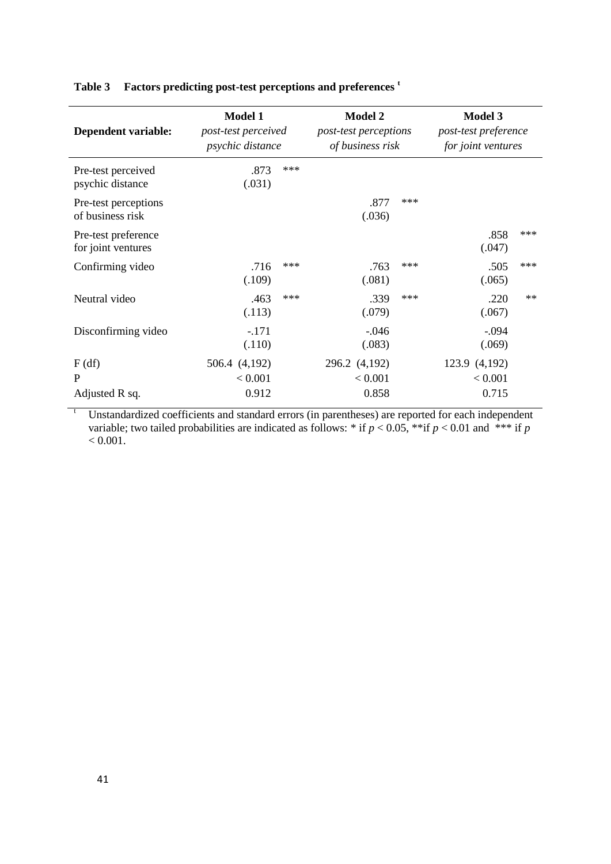| Dependent variable:                       | <b>Model 1</b><br><i>post-test perceived</i><br><i>psychic distance</i> |     | <b>Model 2</b><br><i>post-test perceptions</i><br>of business risk |     | <b>Model 3</b><br>post-test preference<br>for joint ventures |      |
|-------------------------------------------|-------------------------------------------------------------------------|-----|--------------------------------------------------------------------|-----|--------------------------------------------------------------|------|
| Pre-test perceived<br>psychic distance    | .873<br>(.031)                                                          | *** |                                                                    |     |                                                              |      |
| Pre-test perceptions<br>of business risk  |                                                                         |     | .877<br>(.036)                                                     | *** |                                                              |      |
| Pre-test preference<br>for joint ventures |                                                                         |     |                                                                    |     | .858<br>(.047)                                               | ***  |
| Confirming video                          | .716<br>(.109)                                                          | *** | .763<br>(.081)                                                     | *** | .505<br>(.065)                                               | ***  |
| Neutral video                             | .463<br>(.113)                                                          | *** | .339<br>(.079)                                                     | *** | .220<br>(.067)                                               | $**$ |
| Disconfirming video                       | $-.171$<br>(.110)                                                       |     | $-.046$<br>(.083)                                                  |     | $-.094$<br>(.069)                                            |      |
| F(df)<br>P<br>Adjusted R sq.              | 506.4 (4,192)<br>< 0.001<br>0.912                                       |     | 296.2 (4,192)<br>< 0.001<br>0.858                                  |     | 123.9 (4,192)<br>< 0.001<br>0.715                            |      |

# **Table 3 Factors predicting post-test perceptions and preferences <sup>t</sup>**

 Unstandardized coefficients and standard errors (in parentheses) are reported for each independent variable; two tailed probabilities are indicated as follows:  $*$  if  $p < 0.05$ ,  $**$  if  $p < 0.01$  and  $**$  if  $p$  $< 0.001.$ 

t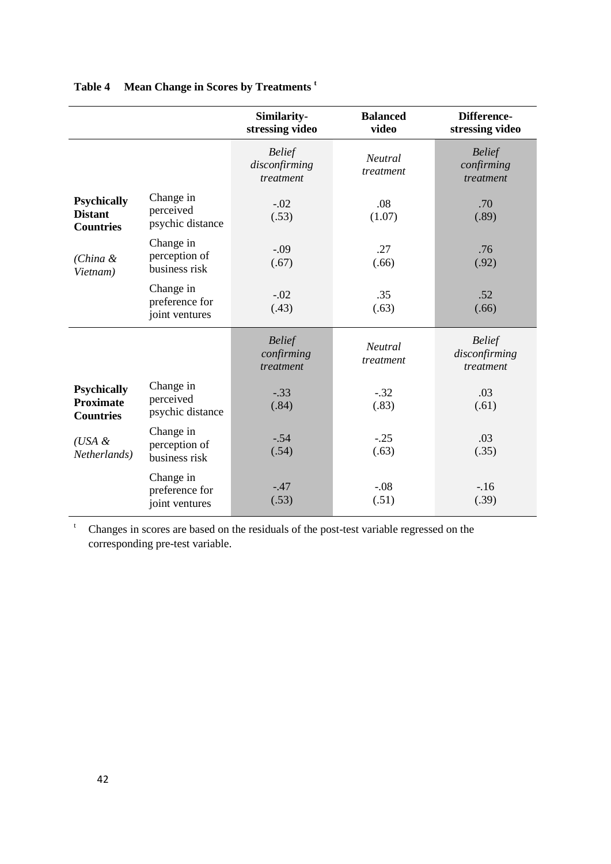|                                                            |                                               | Similarity-<br>stressing video              | <b>Balanced</b><br>video    | Difference-<br>stressing video              |
|------------------------------------------------------------|-----------------------------------------------|---------------------------------------------|-----------------------------|---------------------------------------------|
|                                                            |                                               | <b>Belief</b><br>disconfirming<br>treatment | <b>Neutral</b><br>treatment | <b>Belief</b><br>confirming<br>treatment    |
| <b>Psychically</b><br><b>Distant</b><br><b>Countries</b>   | Change in<br>perceived<br>psychic distance    | $-.02$<br>(.53)                             | .08<br>(1.07)               | .70<br>(.89)                                |
| (China &<br>Vietnam)                                       | Change in<br>perception of<br>business risk   | $-.09$<br>(.67)                             | .27<br>(.66)                | .76<br>(.92)                                |
|                                                            | Change in<br>preference for<br>joint ventures | $-.02$<br>(.43)                             | .35<br>(.63)                | .52<br>(.66)                                |
|                                                            |                                               | <b>Belief</b><br>confirming<br>treatment    | <b>Neutral</b><br>treatment | <b>Belief</b><br>disconfirming<br>treatment |
| <b>Psychically</b><br><b>Proximate</b><br><b>Countries</b> | Change in<br>perceived<br>psychic distance    | $-.33$<br>(.84)                             | $-.32$<br>(.83)             | .03<br>(.61)                                |
| (USA &<br>Netherlands)                                     | Change in<br>perception of<br>business risk   | $-.54$<br>(.54)                             | $-.25$<br>(.63)             | .03<br>(.35)                                |
|                                                            | Change in<br>preference for<br>joint ventures | $-.47$<br>(.53)                             | $-.08$<br>(.51)             | $-16$<br>(.39)                              |

**Table 4 Mean Change in Scores by Treatments <sup>t</sup>**

<sup>t</sup> Changes in scores are based on the residuals of the post-test variable regressed on the corresponding pre-test variable.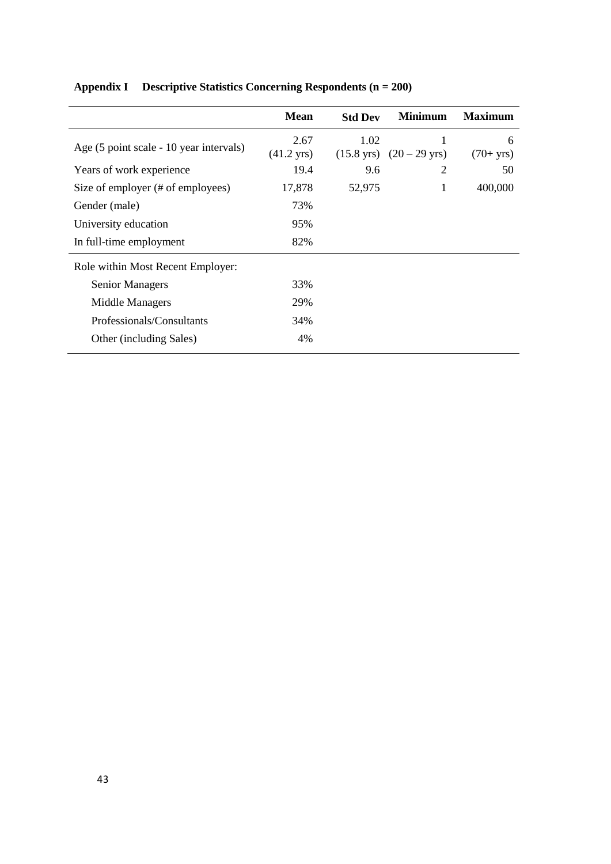|                                         | <b>Mean</b>                  | <b>Std Dev</b> | <b>Minimum</b>                                  | <b>Maximum</b>    |
|-----------------------------------------|------------------------------|----------------|-------------------------------------------------|-------------------|
| Age (5 point scale - 10 year intervals) | 2.67<br>$(41.2 \text{ yrs})$ | 1.02           | 1<br>$(15.8 \text{ yrs})$ $(20-29 \text{ yrs})$ | 6<br>$(70 + yrs)$ |
| Years of work experience                | 19.4                         | 9.6            | $\overline{2}$                                  | 50                |
| Size of employer (# of employees)       | 17,878                       | 52,975         | 1                                               | 400,000           |
| Gender (male)                           | 73%                          |                |                                                 |                   |
| University education                    | 95%                          |                |                                                 |                   |
| In full-time employment                 | 82%                          |                |                                                 |                   |
| Role within Most Recent Employer:       |                              |                |                                                 |                   |
| <b>Senior Managers</b>                  | 33%                          |                |                                                 |                   |
| Middle Managers                         | 29%                          |                |                                                 |                   |
| Professionals/Consultants               | 34%                          |                |                                                 |                   |
| Other (including Sales)                 | 4%                           |                |                                                 |                   |

# **Appendix I Descriptive Statistics Concerning Respondents (n = 200)**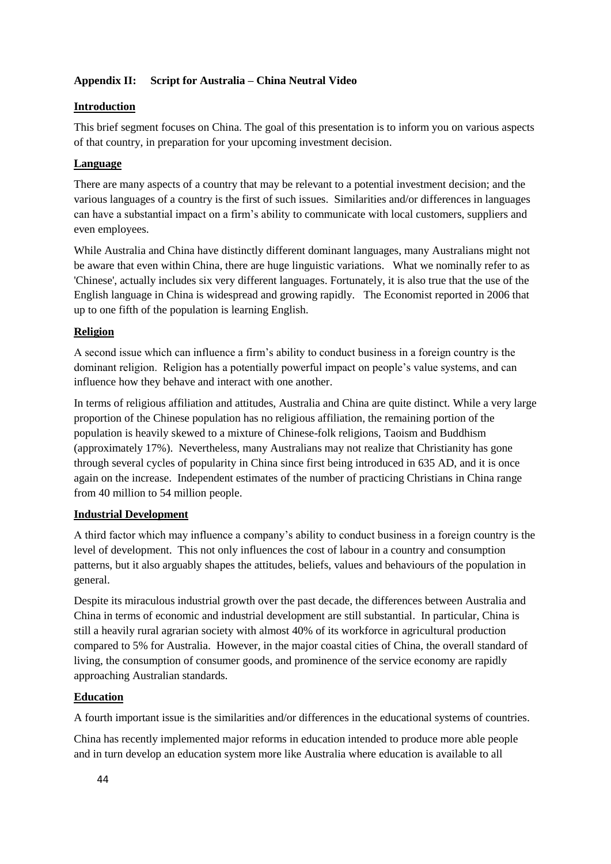# **Appendix II: Script for Australia – China Neutral Video**

# **Introduction**

This brief segment focuses on China. The goal of this presentation is to inform you on various aspects of that country, in preparation for your upcoming investment decision.

# **Language**

There are many aspects of a country that may be relevant to a potential investment decision; and the various languages of a country is the first of such issues. Similarities and/or differences in languages can have a substantial impact on a firm's ability to communicate with local customers, suppliers and even employees.

While Australia and China have distinctly different dominant languages, many Australians might not be aware that even within China, there are huge linguistic variations. What we nominally refer to as 'Chinese', actually includes six very different languages. Fortunately, it is also true that the use of the English language in China is widespread and growing rapidly. The Economist reported in 2006 that up to one fifth of the population is learning English.

# **Religion**

A second issue which can influence a firm's ability to conduct business in a foreign country is the dominant religion. Religion has a potentially powerful impact on people's value systems, and can influence how they behave and interact with one another.

In terms of religious affiliation and attitudes, Australia and China are quite distinct. While a very large proportion of the Chinese population has no religious affiliation, the remaining portion of the population is heavily skewed to a mixture of Chinese-folk religions, Taoism and Buddhism (approximately 17%). Nevertheless, many Australians may not realize that Christianity has gone through several cycles of popularity in China since first being introduced in 635 AD, and it is once again on the increase. Independent estimates of the number of practicing Christians in China range from 40 million to 54 million people.

## **Industrial Development**

A third factor which may influence a company's ability to conduct business in a foreign country is the level of development. This not only influences the cost of labour in a country and consumption patterns, but it also arguably shapes the attitudes, beliefs, values and behaviours of the population in general.

Despite its miraculous industrial growth over the past decade, the differences between Australia and China in terms of economic and industrial development are still substantial. In particular, China is still a heavily rural agrarian society with almost 40% of its workforce in agricultural production compared to 5% for Australia. However, in the major coastal cities of China, the overall standard of living, the consumption of consumer goods, and prominence of the service economy are rapidly approaching Australian standards.

# **Education**

A fourth important issue is the similarities and/or differences in the educational systems of countries.

China has recently implemented major reforms in education intended to produce more able people and in turn develop an education system more like Australia where education is available to all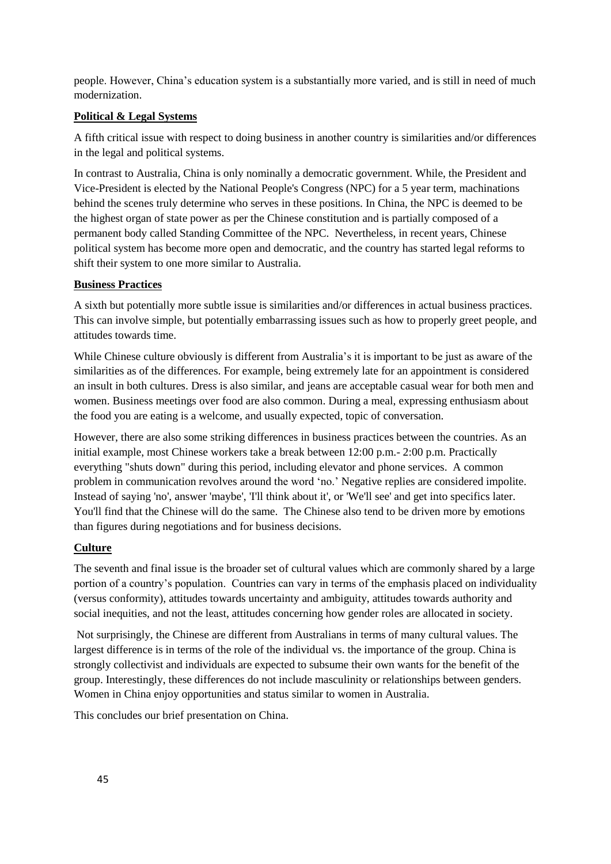people. However, China's education system is a substantially more varied, and is still in need of much modernization.

# **Political & Legal Systems**

A fifth critical issue with respect to doing business in another country is similarities and/or differences in the legal and political systems.

In contrast to Australia, China is only nominally a democratic government. While, the President and Vice-President is elected by the National People's Congress (NPC) for a 5 year term, machinations behind the scenes truly determine who serves in these positions. In China, the NPC is deemed to be the highest organ of state power as per the Chinese constitution and is partially composed of a permanent body called Standing Committee of the NPC. Nevertheless, in recent years, Chinese political system has become more open and democratic, and the country has started legal reforms to shift their system to one more similar to Australia.

# **Business Practices**

A sixth but potentially more subtle issue is similarities and/or differences in actual business practices. This can involve simple, but potentially embarrassing issues such as how to properly greet people, and attitudes towards time.

While Chinese culture obviously is different from Australia's it is important to be just as aware of the similarities as of the differences. For example, being extremely late for an appointment is considered an insult in both cultures. Dress is also similar, and jeans are acceptable casual wear for both men and women. Business meetings over food are also common. During a meal, expressing enthusiasm about the food you are eating is a welcome, and usually expected, topic of conversation.

However, there are also some striking differences in business practices between the countries. As an initial example, most Chinese workers take a break between 12:00 p.m.- 2:00 p.m. Practically everything "shuts down" during this period, including elevator and phone services. A common problem in communication revolves around the word 'no.' Negative replies are considered impolite. Instead of saying 'no', answer 'maybe', 'I'll think about it', or 'We'll see' and get into specifics later. You'll find that the Chinese will do the same. The Chinese also tend to be driven more by emotions than figures during negotiations and for business decisions.

## **Culture**

The seventh and final issue is the broader set of cultural values which are commonly shared by a large portion of a country's population. Countries can vary in terms of the emphasis placed on individuality (versus conformity), attitudes towards uncertainty and ambiguity, attitudes towards authority and social inequities, and not the least, attitudes concerning how gender roles are allocated in society.

Not surprisingly, the Chinese are different from Australians in terms of many cultural values. The largest difference is in terms of the role of the individual vs. the importance of the group. China is strongly collectivist and individuals are expected to subsume their own wants for the benefit of the group. Interestingly, these differences do not include masculinity or relationships between genders. Women in China enjoy opportunities and status similar to women in Australia.

This concludes our brief presentation on China.